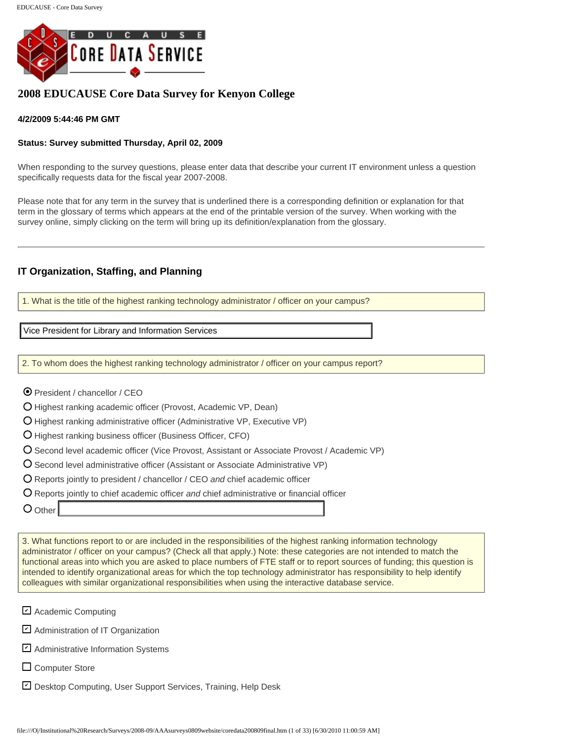

# **2008 EDUCAUSE Core Data Survey for Kenyon College**

#### **4/2/2009 5:44:46 PM GMT**

#### **Status: Survey submitted Thursday, April 02, 2009**

When responding to the survey questions, please enter data that describe your current IT environment unless a question specifically requests data for the fiscal year 2007-2008.

Please note that for any term in the survey that is underlined there is a corresponding definition or explanation for that term in the glossary of terms which appears at the end of the printable version of the survey. When working with the survey online, simply clicking on the term will bring up its definition/explanation from the glossary.

#### **IT Organization, Staffing, and Planning**

1. What is the title of the highest ranking technology administrator / officer on your campus?

2. To whom does the highest ranking technology administrator / officer on your campus report?

- President / chancellor / CEO
- O Highest ranking academic officer (Provost, Academic VP, Dean)
- O Highest ranking administrative officer (Administrative VP, Executive VP)
- Highest ranking business officer (Business Officer, CFO)
- Second level academic officer (Vice Provost, Assistant or Associate Provost / Academic VP)
- O Second level administrative officer (Assistant or Associate Administrative VP)
- Reports jointly to president / chancellor / CEO *and* chief academic officer
- Reports jointly to chief academic officer *and* chief administrative or financial officer
- O Other

3. What functions report to or are included in the responsibilities of the highest ranking information technology administrator / officer on your campus? (Check all that apply.) Note: these categories are not intended to match the functional areas into which you are asked to place numbers of FTE staff or to report sources of funding; this question is intended to identify organizational areas for which the top technology administrator has responsibility to help identify colleagues with similar organizational responsibilities when using the interactive database service. Vice President for Library and Information Services<br>
2. To whom does the highest ranking dechnology administrator / officer on your campus report<br>
Θ President / chancellor / CEO<br>
Ο Highest ranking administrative officer (

- Academic Computing
- **⊻** Administration of IT Organization
- Administrative Information Systems ✔
- □ Computer Store
- Desktop Computing, User Support Services, Training, Help Desk ✔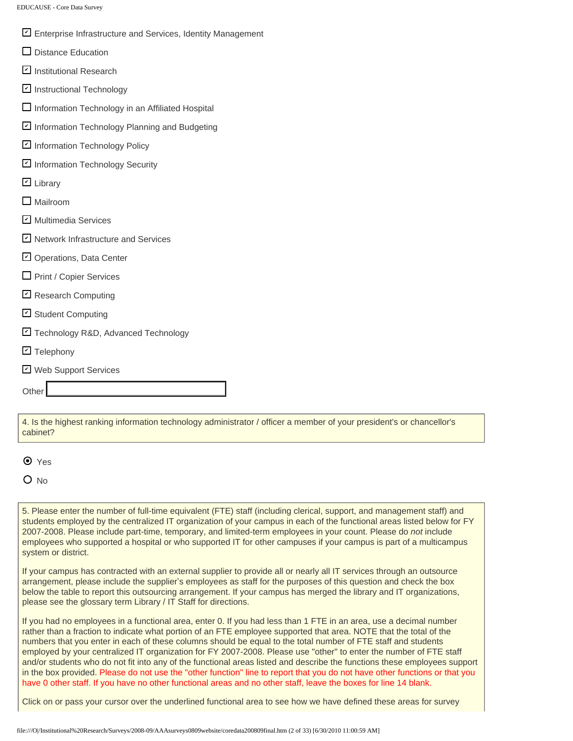- ⊻l Enterprise Infrastructure and Services, Identity Management
- $\square$  Distance Education
- Institutional Research ✔
- Instructional Technology ✔
- $\Box$  Information Technology in an Affiliated Hospital
- ⊻Information Technology Planning and Budgeting
- <u></u> Information Technology Policy
- Information Technology Security ✔
- Library ✔
- **Mailroom**
- Multimedia Services ✔
- ⊻ Network Infrastructure and Services
- Operations, Data Center ✔
- $\Box$  Print / Copier Services
- Research Computing ✔
- Student Computing ✔
- Technology R&D, Advanced Technology ✔
- **의** Telephony
- Web Support Services ✔

**Other** 

4. Is the highest ranking information technology administrator / officer a member of your president's or chancellor's cabinet?

#### **⊙** Yes

 $O$  No

5. Please enter the number of full-time equivalent (FTE) staff (including clerical, support, and management staff) and students employed by the centralized IT organization of your campus in each of the functional areas listed below for FY 2007-2008. Please include part-time, temporary, and limited-term employees in your count. Please do *not* include employees who supported a hospital or who supported IT for other campuses if your campus is part of a multicampus system or district.

If your campus has contracted with an external supplier to provide all or nearly all IT services through an outsource arrangement, please include the supplier's employees as staff for the purposes of this question and check the box below the table to report this outsourcing arrangement. If your campus has merged the library and IT organizations, please see the glossary term Library / IT Staff for directions.

If you had no employees in a functional area, enter 0. If you had less than 1 FTE in an area, use a decimal number rather than a fraction to indicate what portion of an FTE employee supported that area. NOTE that the total of the numbers that you enter in each of these columns should be equal to the total number of FTE staff and students employed by your centralized IT organization for FY 2007-2008. Please use "other" to enter the number of FTE staff and/or students who do not fit into any of the functional areas listed and describe the functions these employees support in the box provided. Please do not use the "other function" line to report that you do not have other functions or that you have 0 other staff. If you have no other functional areas and no other staff, leave the boxes for line 14 blank.

Click on or pass your cursor over the underlined functional area to see how we have defined these areas for survey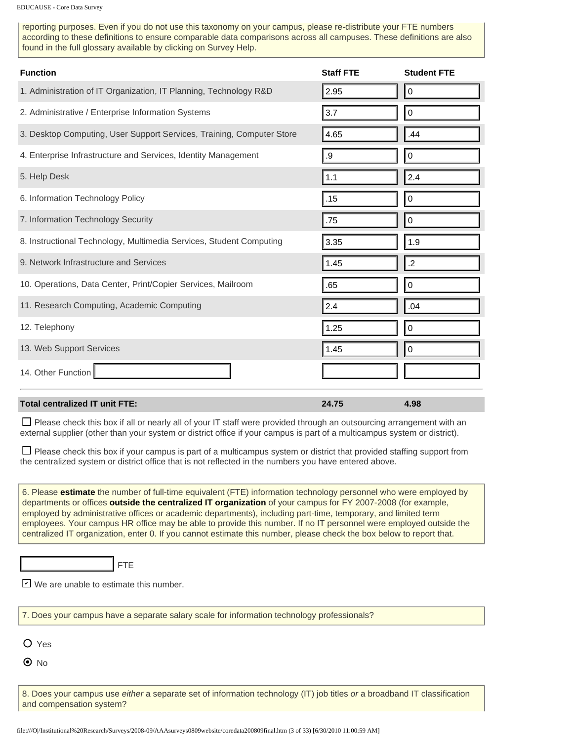reporting purposes. Even if you do not use this taxonomy on your campus, please re-distribute your FTE numbers according to these definitions to ensure comparable data comparisons across all campuses. These definitions are also found in the full glossary available by clicking on Survey Help.

| <b>Function</b>                                                                                                                                                                                                                                                                                                                                                                                                                                                                                                                                                                                 | <b>Staff FTE</b> | <b>Student FTE</b> |
|-------------------------------------------------------------------------------------------------------------------------------------------------------------------------------------------------------------------------------------------------------------------------------------------------------------------------------------------------------------------------------------------------------------------------------------------------------------------------------------------------------------------------------------------------------------------------------------------------|------------------|--------------------|
| 1. Administration of IT Organization, IT Planning, Technology R&D                                                                                                                                                                                                                                                                                                                                                                                                                                                                                                                               | 2.95             | 0                  |
| 2. Administrative / Enterprise Information Systems                                                                                                                                                                                                                                                                                                                                                                                                                                                                                                                                              | 3.7              | $\pmb{0}$          |
| 3. Desktop Computing, User Support Services, Training, Computer Store                                                                                                                                                                                                                                                                                                                                                                                                                                                                                                                           | 4.65             | .44                |
| 4. Enterprise Infrastructure and Services, Identity Management                                                                                                                                                                                                                                                                                                                                                                                                                                                                                                                                  | .9               | $\pmb{0}$          |
| 5. Help Desk                                                                                                                                                                                                                                                                                                                                                                                                                                                                                                                                                                                    | 1.1              | 2.4                |
| 6. Information Technology Policy                                                                                                                                                                                                                                                                                                                                                                                                                                                                                                                                                                | .15              | $\pmb{0}$          |
| 7. Information Technology Security                                                                                                                                                                                                                                                                                                                                                                                                                                                                                                                                                              | .75              | 0                  |
| 8. Instructional Technology, Multimedia Services, Student Computing                                                                                                                                                                                                                                                                                                                                                                                                                                                                                                                             | 3.35             | 1.9                |
| 9. Network Infrastructure and Services                                                                                                                                                                                                                                                                                                                                                                                                                                                                                                                                                          | 1.45             | $.2\phantom{0}$    |
| 10. Operations, Data Center, Print/Copier Services, Mailroom                                                                                                                                                                                                                                                                                                                                                                                                                                                                                                                                    | .65              | $\pmb{0}$          |
| 11. Research Computing, Academic Computing                                                                                                                                                                                                                                                                                                                                                                                                                                                                                                                                                      | 2.4              | .04                |
| 12. Telephony                                                                                                                                                                                                                                                                                                                                                                                                                                                                                                                                                                                   | 1.25             | $\boldsymbol{0}$   |
| 13. Web Support Services                                                                                                                                                                                                                                                                                                                                                                                                                                                                                                                                                                        | 1.45             | 0                  |
| 14. Other Function                                                                                                                                                                                                                                                                                                                                                                                                                                                                                                                                                                              |                  |                    |
| <b>Total centralized IT unit FTE:</b>                                                                                                                                                                                                                                                                                                                                                                                                                                                                                                                                                           | 24.75            | 4.98               |
| □ Please check this box if all or nearly all of your IT staff were provided through an outsourcing arrangement with an<br>external supplier (other than your system or district office if your campus is part of a multicampus system or district).                                                                                                                                                                                                                                                                                                                                             |                  |                    |
| $\Box$ Please check this box if your campus is part of a multicampus system or district that provided staffing support from<br>the centralized system or district office that is not reflected in the numbers you have entered above.                                                                                                                                                                                                                                                                                                                                                           |                  |                    |
| 6. Please estimate the number of full-time equivalent (FTE) information technology personnel who were employed by<br>departments or offices outside the centralized IT organization of your campus for FY 2007-2008 (for example,<br>employed by administrative offices or academic departments), including part-time, temporary, and limited term<br>employees. Your campus HR office may be able to provide this number. If no IT personnel were employed outside the<br>centralized IT organization, enter 0. If you cannot estimate this number, please check the box below to report that. |                  |                    |
| <b>FTE</b><br>$\triangleright$ We are unable to estimate this number.                                                                                                                                                                                                                                                                                                                                                                                                                                                                                                                           |                  |                    |
| 7. Does your campus have a separate salary scale for information technology professionals?                                                                                                                                                                                                                                                                                                                                                                                                                                                                                                      |                  |                    |
| $O$ Yes                                                                                                                                                                                                                                                                                                                                                                                                                                                                                                                                                                                         |                  |                    |
| $\odot$ No                                                                                                                                                                                                                                                                                                                                                                                                                                                                                                                                                                                      |                  |                    |
| 8. Does your campus use either a separate set of information technology (IT) job titles or a broadband IT classification<br>and compensation system?                                                                                                                                                                                                                                                                                                                                                                                                                                            |                  |                    |
| file:///O /Institutional%20Research/Surveys/2008-09/AAAsurveys0809website/coredata200809final.htm (3 of 33) [6/30/2010 11:00:59 AM]                                                                                                                                                                                                                                                                                                                                                                                                                                                             |                  |                    |

#### **Total centralized IT unit FTE: 24.75 4.98**

| 7. Does your campus have a separate salary scale for information technology professionals? |
|--------------------------------------------------------------------------------------------|
| $O$ Yes                                                                                    |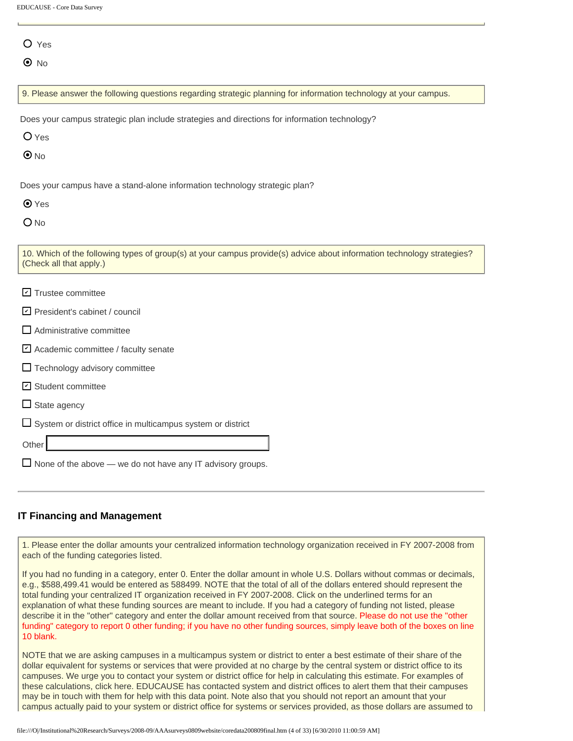|  | EDUCAUSE - Core Data Survey |
|--|-----------------------------|
|--|-----------------------------|

| ۰. | ×<br>i |
|----|--------|
|    |        |

 $\odot$  No

9. Please answer the following questions regarding strategic planning for information technology at your campus.

Does your campus strategic plan include strategies and directions for information technology?

O Yes

 $\odot$  No

Does your campus have a stand-alone information technology strategic plan?

| ı | ۰, |
|---|----|
|---|----|

O<sub>No</sub>

| 10. Which of the following types of group(s) at your campus provide(s) advice about information technology strategies? |  |
|------------------------------------------------------------------------------------------------------------------------|--|
| (Check all that apply.)                                                                                                |  |

- **기** Trustee committee
- President's cabinet / council ✔
- Administrative committee
- **⊻** Academic committee / faculty senate
- $\Box$  Technology advisory committee
- Student committee ✔
- $\Box$  State agency

 $\square$  System or district office in multicampus system or district

Other

 $\Box$  None of the above — we do not have any IT advisory groups.

#### **IT Financing and Management**

1. Please enter the dollar amounts your centralized information technology organization received in FY 2007-2008 from each of the funding categories listed.

If you had no funding in a category, enter 0. Enter the dollar amount in whole U.S. Dollars without commas or decimals, e.g., \$588,499.41 would be entered as 588499. NOTE that the total of all of the dollars entered should represent the total funding your centralized IT organization received in FY 2007-2008. Click on the underlined terms for an explanation of what these funding sources are meant to include. If you had a category of funding not listed, please describe it in the "other" category and enter the dollar amount received from that source. Please do not use the "other funding" category to report 0 other funding; if you have no other funding sources, simply leave both of the boxes on line 10 blank.

NOTE that we are asking campuses in a multicampus system or district to enter a best estimate of their share of the dollar equivalent for systems or services that were provided at no charge by the central system or district office to its campuses. We urge you to contact your system or district office for help in calculating this estimate. For examples of these calculations, click here. EDUCAUSE has contacted system and district offices to alert them that their campuses may be in touch with them for help with this data point. Note also that you should not report an amount that your campus actually paid to your system or district office for systems or services provided, as those dollars are assumed to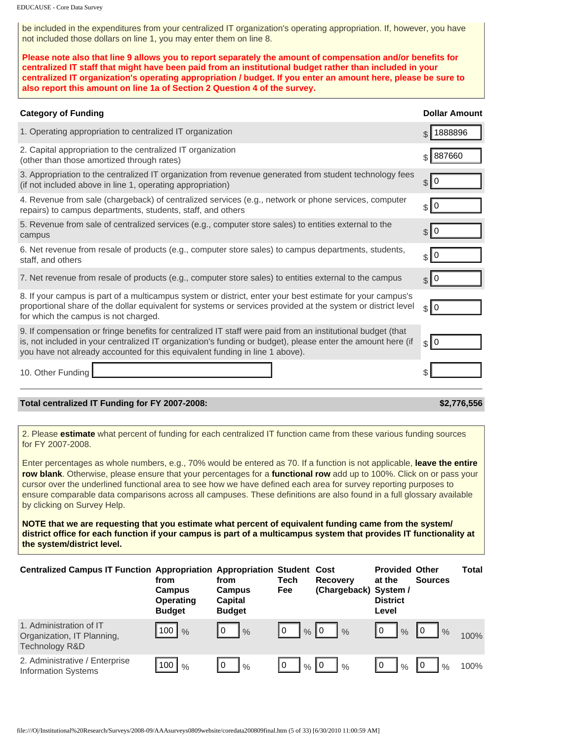be included in the expenditures from your centralized IT organization's operating appropriation. If, however, you have not included those dollars on line 1, you may enter them on line 8.

**Please note also that line 9 allows you to report separately the amount of compensation and/or benefits for centralized IT staff that might have been paid from an institutional budget rather than included in your centralized IT organization's operating appropriation / budget. If you enter an amount here, please be sure to also report this amount on line 1a of Section 2 Question 4 of the survey.**

| <b>Category of Funding</b>                                                                                                                                                                                                                                                                                                                                                                                                                                                                                                                                                                                                                                                                                                                                                                                                                                                                                                            |                                                                                                           |                                                          |                    |                                          |                                                             | <b>Dollar Amount</b> |              |
|---------------------------------------------------------------------------------------------------------------------------------------------------------------------------------------------------------------------------------------------------------------------------------------------------------------------------------------------------------------------------------------------------------------------------------------------------------------------------------------------------------------------------------------------------------------------------------------------------------------------------------------------------------------------------------------------------------------------------------------------------------------------------------------------------------------------------------------------------------------------------------------------------------------------------------------|-----------------------------------------------------------------------------------------------------------|----------------------------------------------------------|--------------------|------------------------------------------|-------------------------------------------------------------|----------------------|--------------|
| 1. Operating appropriation to centralized IT organization                                                                                                                                                                                                                                                                                                                                                                                                                                                                                                                                                                                                                                                                                                                                                                                                                                                                             |                                                                                                           |                                                          |                    |                                          |                                                             | 1888896              |              |
|                                                                                                                                                                                                                                                                                                                                                                                                                                                                                                                                                                                                                                                                                                                                                                                                                                                                                                                                       | 2. Capital appropriation to the centralized IT organization<br>(other than those amortized through rates) |                                                          |                    |                                          |                                                             | 887660               |              |
| 3. Appropriation to the centralized IT organization from revenue generated from student technology fees<br>(if not included above in line 1, operating appropriation)                                                                                                                                                                                                                                                                                                                                                                                                                                                                                                                                                                                                                                                                                                                                                                 |                                                                                                           |                                                          |                    |                                          |                                                             | 0<br>$\mathcal{S}$   |              |
| 4. Revenue from sale (chargeback) of centralized services (e.g., network or phone services, computer<br>repairs) to campus departments, students, staff, and others                                                                                                                                                                                                                                                                                                                                                                                                                                                                                                                                                                                                                                                                                                                                                                   |                                                                                                           |                                                          |                    |                                          |                                                             | 0<br>\$              |              |
| 5. Revenue from sale of centralized services (e.g., computer store sales) to entities external to the<br>campus                                                                                                                                                                                                                                                                                                                                                                                                                                                                                                                                                                                                                                                                                                                                                                                                                       |                                                                                                           |                                                          |                    |                                          |                                                             | \$10                 |              |
| 6. Net revenue from resale of products (e.g., computer store sales) to campus departments, students,<br>staff, and others                                                                                                                                                                                                                                                                                                                                                                                                                                                                                                                                                                                                                                                                                                                                                                                                             |                                                                                                           |                                                          |                    |                                          |                                                             | 0<br>$\mathbb{S}$    |              |
| 7. Net revenue from resale of products (e.g., computer store sales) to entities external to the campus                                                                                                                                                                                                                                                                                                                                                                                                                                                                                                                                                                                                                                                                                                                                                                                                                                |                                                                                                           |                                                          |                    |                                          |                                                             | \$10                 |              |
| 8. If your campus is part of a multicampus system or district, enter your best estimate for your campus's<br>proportional share of the dollar equivalent for systems or services provided at the system or district level<br>for which the campus is not charged.                                                                                                                                                                                                                                                                                                                                                                                                                                                                                                                                                                                                                                                                     |                                                                                                           |                                                          |                    |                                          |                                                             | 0<br>$\frac{1}{2}$   |              |
| 9. If compensation or fringe benefits for centralized IT staff were paid from an institutional budget (that<br>is, not included in your centralized IT organization's funding or budget), please enter the amount here (if<br>you have not already accounted for this equivalent funding in line 1 above).                                                                                                                                                                                                                                                                                                                                                                                                                                                                                                                                                                                                                            |                                                                                                           |                                                          |                    |                                          |                                                             | \$10                 |              |
| 10. Other Funding                                                                                                                                                                                                                                                                                                                                                                                                                                                                                                                                                                                                                                                                                                                                                                                                                                                                                                                     |                                                                                                           |                                                          |                    |                                          |                                                             |                      |              |
| Total centralized IT Funding for FY 2007-2008:                                                                                                                                                                                                                                                                                                                                                                                                                                                                                                                                                                                                                                                                                                                                                                                                                                                                                        |                                                                                                           |                                                          |                    |                                          |                                                             |                      | \$2,776,556  |
| 2. Please estimate what percent of funding for each centralized IT function came from these various funding sources<br>for FY 2007-2008.<br>Enter percentages as whole numbers, e.g., 70% would be entered as 70. If a function is not applicable, leave the entire<br>row blank. Otherwise, please ensure that your percentages for a functional row add up to 100%. Click on or pass your<br>cursor over the underlined functional area to see how we have defined each area for survey reporting purposes to<br>ensure comparable data comparisons across all campuses. These definitions are also found in a full glossary available<br>by clicking on Survey Help.<br>NOTE that we are requesting that you estimate what percent of equivalent funding came from the system/<br>district office for each function if your campus is part of a multicampus system that provides IT functionality at<br>the system/district level. |                                                                                                           |                                                          |                    |                                          |                                                             |                      |              |
| <b>Centralized Campus IT Function Appropriation Appropriation Student Cost</b>                                                                                                                                                                                                                                                                                                                                                                                                                                                                                                                                                                                                                                                                                                                                                                                                                                                        | from<br>Campus<br><b>Operating</b><br><b>Budget</b>                                                       | from<br><b>Campus</b><br><b>Capital</b><br><b>Budget</b> | <b>Tech</b><br>Fee | <b>Recovery</b><br>(Chargeback) System / | <b>Provided Other</b><br>at the<br><b>District</b><br>Level | <b>Sources</b>       | <b>Total</b> |
| 1. Administration of IT<br>Organization, IT Planning,<br>Technology R&D                                                                                                                                                                                                                                                                                                                                                                                                                                                                                                                                                                                                                                                                                                                                                                                                                                                               | 100<br>$\frac{0}{0}$                                                                                      | 0<br>$\%$                                                | Iθ                 | $\%$ 0<br>$\frac{0}{0}$                  | 0<br>$\%$                                                   | 0<br>$\%$            | 100%         |
| 2. Administrative / Enterprise<br><b>Information Systems</b>                                                                                                                                                                                                                                                                                                                                                                                                                                                                                                                                                                                                                                                                                                                                                                                                                                                                          | 100<br>$\frac{0}{0}$                                                                                      | 0<br>$\%$                                                | 10                 | $\frac{9}{6}$ 0<br>$\%$                  | 0<br>$\%$                                                   | 0<br>$\frac{0}{0}$   | 100%         |

#### **Total centralized IT Funding for FY 2007-2008: \$2,776,556**

| <b>Centralized Campus IT Function Appropriation Appropriation Student Cost</b> | from<br>Campus<br><b>Operating</b><br><b>Budget</b> | from<br>Campus<br>Capital<br><b>Budget</b> | Tech<br>Fee          | <b>Recovery</b><br>(Chargeback) System / | <b>Provided Other</b><br>at the<br><b>District</b><br>Level | <b>Sources</b>      | Total |
|--------------------------------------------------------------------------------|-----------------------------------------------------|--------------------------------------------|----------------------|------------------------------------------|-------------------------------------------------------------|---------------------|-------|
| 1. Administration of IT<br>Organization, IT Planning,<br>Technology R&D        | 100 $\frac{9}{6}$                                   | ۱0<br>$\%$                                 | l O<br>$\frac{0}{0}$ | 10<br>$\frac{0}{0}$                      | 10<br>$\frac{1}{6}$                                         | 10<br>$\frac{9}{6}$ | 100%  |
| 2. Administrative / Enterprise<br><b>Information Systems</b>                   | 100<br>$\%$                                         | 10<br>$\%$                                 | 10<br>$\frac{0}{6}$  | l 0<br>$\%$                              | l O<br>$\%$                                                 | $\frac{0}{6}$       | 100%  |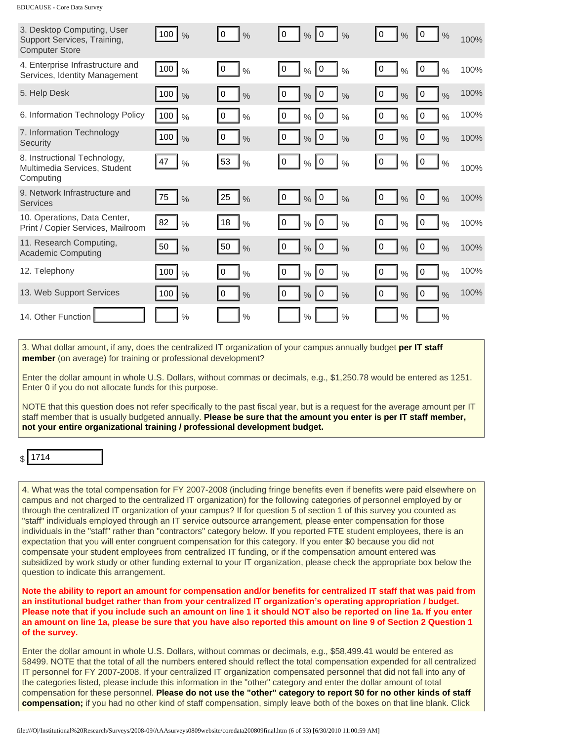| 3. Desktop Computing, User<br>Support Services, Training,<br><b>Computer Store</b>                                                                                                                                                                                                                                                                                                                                                                                                                                                                                                                                                                                                                                                                                                                                                                                                                                                                                                                                                                                                                                                                                                                                                                                                                                                                                                                                                                                                                                                                                                                                                                                                                                                                                                                                                                                                          | $100$ $\frac{9}{6}$   | 10<br>$\frac{0}{0}$ | $\frac{9}{6}$ 0<br>10<br>$\frac{0}{0}$       | 10<br>$\frac{0}{0}$ | 0<br>$\frac{0}{0}$  | 100% |
|---------------------------------------------------------------------------------------------------------------------------------------------------------------------------------------------------------------------------------------------------------------------------------------------------------------------------------------------------------------------------------------------------------------------------------------------------------------------------------------------------------------------------------------------------------------------------------------------------------------------------------------------------------------------------------------------------------------------------------------------------------------------------------------------------------------------------------------------------------------------------------------------------------------------------------------------------------------------------------------------------------------------------------------------------------------------------------------------------------------------------------------------------------------------------------------------------------------------------------------------------------------------------------------------------------------------------------------------------------------------------------------------------------------------------------------------------------------------------------------------------------------------------------------------------------------------------------------------------------------------------------------------------------------------------------------------------------------------------------------------------------------------------------------------------------------------------------------------------------------------------------------------|-----------------------|---------------------|----------------------------------------------|---------------------|---------------------|------|
| 4. Enterprise Infrastructure and<br>Services, Identity Management                                                                                                                                                                                                                                                                                                                                                                                                                                                                                                                                                                                                                                                                                                                                                                                                                                                                                                                                                                                                                                                                                                                                                                                                                                                                                                                                                                                                                                                                                                                                                                                                                                                                                                                                                                                                                           | $\vert$ 100 $\vert$ % | I٥<br>$\frac{0}{0}$ | $\frac{9}{6}$ 0<br>10<br>$\frac{0}{0}$       | 0<br>$\frac{0}{0}$  | 10<br>$\frac{0}{0}$ | 100% |
| 5. Help Desk                                                                                                                                                                                                                                                                                                                                                                                                                                                                                                                                                                                                                                                                                                                                                                                                                                                                                                                                                                                                                                                                                                                                                                                                                                                                                                                                                                                                                                                                                                                                                                                                                                                                                                                                                                                                                                                                                | 100 <br>$\frac{0}{0}$ | 10<br>$\frac{0}{0}$ | $\frac{9}{6}$ 0<br>0<br>$\frac{0}{0}$        | 0<br>$\frac{0}{0}$  | 0<br>$\frac{0}{0}$  | 100% |
| 6. Information Technology Policy                                                                                                                                                                                                                                                                                                                                                                                                                                                                                                                                                                                                                                                                                                                                                                                                                                                                                                                                                                                                                                                                                                                                                                                                                                                                                                                                                                                                                                                                                                                                                                                                                                                                                                                                                                                                                                                            | 100<br>$\frac{0}{0}$  | 0<br>$\frac{0}{0}$  | $\overline{0}$<br>0<br>$\%$<br>$\frac{0}{0}$ | 0<br>$\frac{0}{0}$  | 0<br>$\frac{0}{0}$  | 100% |
| 7. Information Technology<br>Security                                                                                                                                                                                                                                                                                                                                                                                                                                                                                                                                                                                                                                                                                                                                                                                                                                                                                                                                                                                                                                                                                                                                                                                                                                                                                                                                                                                                                                                                                                                                                                                                                                                                                                                                                                                                                                                       | $100$ $\frac{9}{6}$   | I٥<br>$\frac{0}{0}$ | $\frac{9}{6}$ 0<br>10<br>$\frac{0}{0}$       | I٥<br>$\%$          | 0<br>$\frac{0}{0}$  | 100% |
| 8. Instructional Technology,<br>Multimedia Services, Student<br>Computing                                                                                                                                                                                                                                                                                                                                                                                                                                                                                                                                                                                                                                                                                                                                                                                                                                                                                                                                                                                                                                                                                                                                                                                                                                                                                                                                                                                                                                                                                                                                                                                                                                                                                                                                                                                                                   | 47<br>$\frac{0}{0}$   | 53<br>$\frac{0}{0}$ | $\frac{9}{6}$ 0<br>  0<br>$\frac{0}{0}$      | 0<br>$\frac{0}{0}$  | 0<br>$\frac{0}{0}$  | 100% |
| 9. Network Infrastructure and<br><b>Services</b>                                                                                                                                                                                                                                                                                                                                                                                                                                                                                                                                                                                                                                                                                                                                                                                                                                                                                                                                                                                                                                                                                                                                                                                                                                                                                                                                                                                                                                                                                                                                                                                                                                                                                                                                                                                                                                            | 75<br>$\frac{0}{0}$   | 25<br>$\frac{9}{6}$ | $\frac{9}{6}$ 0<br>10<br>$\frac{0}{0}$       | 10<br>$\frac{0}{0}$ | 10<br>$\frac{0}{0}$ | 100% |
| 10. Operations, Data Center,<br>Print / Copier Services, Mailroom                                                                                                                                                                                                                                                                                                                                                                                                                                                                                                                                                                                                                                                                                                                                                                                                                                                                                                                                                                                                                                                                                                                                                                                                                                                                                                                                                                                                                                                                                                                                                                                                                                                                                                                                                                                                                           | 82<br>$\frac{0}{0}$   | 18<br>$\frac{0}{0}$ | $\%$ 0<br>  0<br>$\frac{0}{0}$               | 0<br>$\frac{0}{0}$  | 10<br>$\frac{0}{0}$ | 100% |
| 11. Research Computing,<br><b>Academic Computing</b>                                                                                                                                                                                                                                                                                                                                                                                                                                                                                                                                                                                                                                                                                                                                                                                                                                                                                                                                                                                                                                                                                                                                                                                                                                                                                                                                                                                                                                                                                                                                                                                                                                                                                                                                                                                                                                        | 50<br>$\%$            | 50<br>$\frac{9}{6}$ | $\frac{9}{6}$ 0<br>10<br>$\frac{0}{0}$       | 10<br>$\frac{0}{0}$ | 10<br>$\frac{0}{0}$ | 100% |
| 12. Telephony                                                                                                                                                                                                                                                                                                                                                                                                                                                                                                                                                                                                                                                                                                                                                                                                                                                                                                                                                                                                                                                                                                                                                                                                                                                                                                                                                                                                                                                                                                                                                                                                                                                                                                                                                                                                                                                                               | 100<br>$\frac{0}{0}$  | 0<br>$\frac{0}{0}$  | 10<br>0<br>$\%$<br>$\frac{0}{0}$             | 0<br>$\%$           | 0<br>$\frac{0}{0}$  | 100% |
| 13. Web Support Services                                                                                                                                                                                                                                                                                                                                                                                                                                                                                                                                                                                                                                                                                                                                                                                                                                                                                                                                                                                                                                                                                                                                                                                                                                                                                                                                                                                                                                                                                                                                                                                                                                                                                                                                                                                                                                                                    | 100  <br>$\%$         | 10<br>$\frac{0}{0}$ | $\frac{9}{6}$ 0<br>10<br>$\frac{0}{0}$       | 0<br>$\%$           | 0<br>$\frac{0}{0}$  | 100% |
| 14. Other Function                                                                                                                                                                                                                                                                                                                                                                                                                                                                                                                                                                                                                                                                                                                                                                                                                                                                                                                                                                                                                                                                                                                                                                                                                                                                                                                                                                                                                                                                                                                                                                                                                                                                                                                                                                                                                                                                          | $\frac{0}{0}$         | $\%$                | $\frac{0}{0}$<br>$\%$                        | $\frac{0}{0}$       | $\frac{0}{0}$       |      |
| 3. What dollar amount, if any, does the centralized IT organization of your campus annually budget per IT staff<br>member (on average) for training or professional development?                                                                                                                                                                                                                                                                                                                                                                                                                                                                                                                                                                                                                                                                                                                                                                                                                                                                                                                                                                                                                                                                                                                                                                                                                                                                                                                                                                                                                                                                                                                                                                                                                                                                                                            |                       |                     |                                              |                     |                     |      |
| Enter the dollar amount in whole U.S. Dollars, without commas or decimals, e.g., \$1,250.78 would be entered as 1251.<br>Enter 0 if you do not allocate funds for this purpose.                                                                                                                                                                                                                                                                                                                                                                                                                                                                                                                                                                                                                                                                                                                                                                                                                                                                                                                                                                                                                                                                                                                                                                                                                                                                                                                                                                                                                                                                                                                                                                                                                                                                                                             |                       |                     |                                              |                     |                     |      |
| NOTE that this question does not refer specifically to the past fiscal year, but is a request for the average amount per IT<br>staff member that is usually budgeted annually. Please be sure that the amount you enter is per IT staff member,<br>not your entire organizational training / professional development budget.                                                                                                                                                                                                                                                                                                                                                                                                                                                                                                                                                                                                                                                                                                                                                                                                                                                                                                                                                                                                                                                                                                                                                                                                                                                                                                                                                                                                                                                                                                                                                               |                       |                     |                                              |                     |                     |      |
| 1714                                                                                                                                                                                                                                                                                                                                                                                                                                                                                                                                                                                                                                                                                                                                                                                                                                                                                                                                                                                                                                                                                                                                                                                                                                                                                                                                                                                                                                                                                                                                                                                                                                                                                                                                                                                                                                                                                        |                       |                     |                                              |                     |                     |      |
| 4. What was the total compensation for FY 2007-2008 (including fringe benefits even if benefits were paid elsewhere on<br>campus and not charged to the centralized IT organization) for the following categories of personnel employed by or<br>through the centralized IT organization of your campus? If for question 5 of section 1 of this survey you counted as<br>"staff" individuals employed through an IT service outsource arrangement, please enter compensation for those<br>individuals in the "staff" rather than "contractors" category below. If you reported FTE student employees, there is an<br>expectation that you will enter congruent compensation for this category. If you enter \$0 because you did not<br>compensate your student employees from centralized IT funding, or if the compensation amount entered was<br>subsidized by work study or other funding external to your IT organization, please check the appropriate box below the<br>question to indicate this arrangement.<br>Note the ability to report an amount for compensation and/or benefits for centralized IT staff that was paid from<br>an institutional budget rather than from your centralized IT organization's operating appropriation / budget.<br>Please note that if you include such an amount on line 1 it should NOT also be reported on line 1a. If you enter<br>an amount on line 1a, please be sure that you have also reported this amount on line 9 of Section 2 Question 1<br>of the survey.<br>Enter the dollar amount in whole U.S. Dollars, without commas or decimals, e.g., \$58,499.41 would be entered as<br>58499. NOTE that the total of all the numbers entered should reflect the total compensation expended for all centralized<br>IT personnel for FY 2007-2008. If your centralized IT organization compensated personnel that did not fall into any of |                       |                     |                                              |                     |                     |      |
| the categories listed, please include this information in the "other" category and enter the dollar amount of total<br>compensation for these personnel. Please do not use the "other" category to report \$0 for no other kinds of staff<br>compensation; if you had no other kind of staff compensation, simply leave both of the boxes on that line blank. Click                                                                                                                                                                                                                                                                                                                                                                                                                                                                                                                                                                                                                                                                                                                                                                                                                                                                                                                                                                                                                                                                                                                                                                                                                                                                                                                                                                                                                                                                                                                         |                       |                     |                                              |                     |                     |      |
| file:///O /Institutional%20Research/Surveys/2008-09/AAAsurveys0809website/coredata200809final.htm (6 of 33) [6/30/2010 11:00:59 AM]                                                                                                                                                                                                                                                                                                                                                                                                                                                                                                                                                                                                                                                                                                                                                                                                                                                                                                                                                                                                                                                                                                                                                                                                                                                                                                                                                                                                                                                                                                                                                                                                                                                                                                                                                         |                       |                     |                                              |                     |                     |      |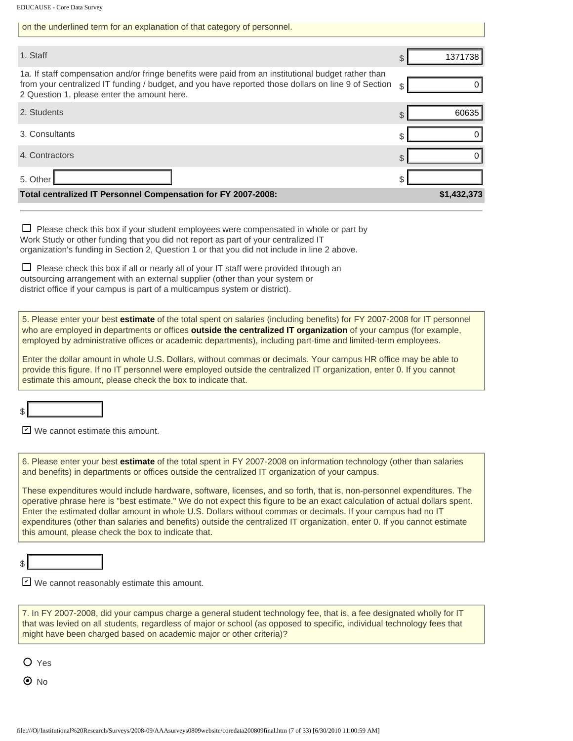| 1. Staff                                                                                                                                                                                                                                                                                                                                                                                                                                                                                                                                                                                                                                                                                                                                                                          | 1371738<br>$\mathcal{L}$ |
|-----------------------------------------------------------------------------------------------------------------------------------------------------------------------------------------------------------------------------------------------------------------------------------------------------------------------------------------------------------------------------------------------------------------------------------------------------------------------------------------------------------------------------------------------------------------------------------------------------------------------------------------------------------------------------------------------------------------------------------------------------------------------------------|--------------------------|
| 1a. If staff compensation and/or fringe benefits were paid from an institutional budget rather than<br>from your centralized IT funding / budget, and you have reported those dollars on line 9 of Section<br>2 Question 1, please enter the amount here.                                                                                                                                                                                                                                                                                                                                                                                                                                                                                                                         | 0<br>\$                  |
| 2. Students                                                                                                                                                                                                                                                                                                                                                                                                                                                                                                                                                                                                                                                                                                                                                                       | 60635<br>\$              |
| 3. Consultants                                                                                                                                                                                                                                                                                                                                                                                                                                                                                                                                                                                                                                                                                                                                                                    | 0<br>\$                  |
| 4. Contractors                                                                                                                                                                                                                                                                                                                                                                                                                                                                                                                                                                                                                                                                                                                                                                    | 0<br>\$                  |
| 5. Other                                                                                                                                                                                                                                                                                                                                                                                                                                                                                                                                                                                                                                                                                                                                                                          | \$                       |
| Total centralized IT Personnel Compensation for FY 2007-2008:                                                                                                                                                                                                                                                                                                                                                                                                                                                                                                                                                                                                                                                                                                                     | \$1,432,373              |
| $\Box$ Please check this box if your student employees were compensated in whole or part by<br>Work Study or other funding that you did not report as part of your centralized IT<br>organization's funding in Section 2, Question 1 or that you did not include in line 2 above.<br>Please check this box if all or nearly all of your IT staff were provided through an<br>outsourcing arrangement with an external supplier (other than your system or<br>district office if your campus is part of a multicampus system or district).                                                                                                                                                                                                                                         |                          |
| 5. Please enter your best estimate of the total spent on salaries (including benefits) for FY 2007-2008 for IT personnel<br>who are employed in departments or offices <b>outside the centralized IT organization</b> of your campus (for example,<br>employed by administrative offices or academic departments), including part-time and limited-term employees.<br>Enter the dollar amount in whole U.S. Dollars, without commas or decimals. Your campus HR office may be able to<br>provide this figure. If no IT personnel were employed outside the centralized IT organization, enter 0. If you cannot<br>estimate this amount, please check the box to indicate that.                                                                                                    |                          |
| We cannot estimate this amount.                                                                                                                                                                                                                                                                                                                                                                                                                                                                                                                                                                                                                                                                                                                                                   |                          |
| 6. Please enter your best estimate of the total spent in FY 2007-2008 on information technology (other than salaries<br>and benefits) in departments or offices outside the centralized IT organization of your campus.<br>These expenditures would include hardware, software, licenses, and so forth, that is, non-personnel expenditures. The<br>operative phrase here is "best estimate." We do not expect this figure to be an exact calculation of actual dollars spent.<br>Enter the estimated dollar amount in whole U.S. Dollars without commas or decimals. If your campus had no IT<br>expenditures (other than salaries and benefits) outside the centralized IT organization, enter 0. If you cannot estimate<br>this amount, please check the box to indicate that. |                          |
| $\triangleright$ We cannot reasonably estimate this amount.                                                                                                                                                                                                                                                                                                                                                                                                                                                                                                                                                                                                                                                                                                                       |                          |
| 7. In FY 2007-2008, did your campus charge a general student technology fee, that is, a fee designated wholly for IT<br>that was levied on all students, regardless of major or school (as opposed to specific, individual technology fees that<br>might have been charged based on academic major or other criteria)?                                                                                                                                                                                                                                                                                                                                                                                                                                                            |                          |
| $O$ Yes<br>$\bm{\odot}$ No<br>file:///O /Institutional%20Research/Surveys/2008-09/AAAsurveys0809website/coredata200809final.htm (7 of 33) [6/30/2010 11:00:59 AM]                                                                                                                                                                                                                                                                                                                                                                                                                                                                                                                                                                                                                 |                          |

on the underlined term for an explanation of that category of personnel.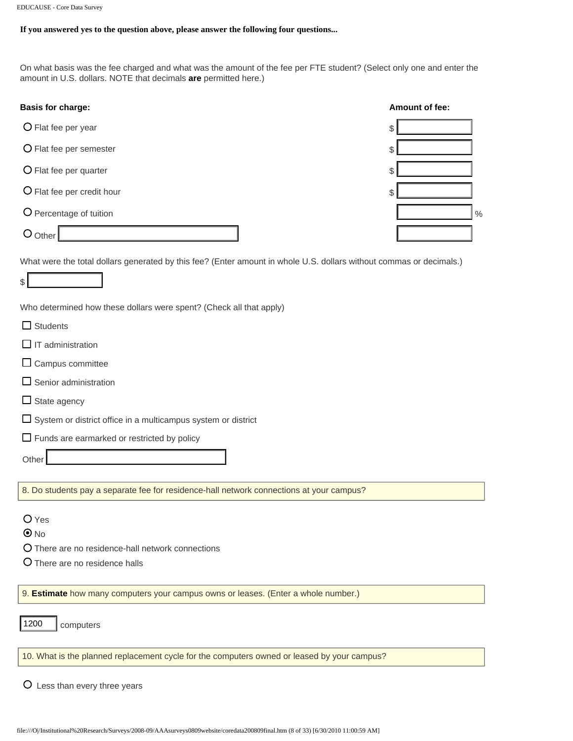#### **If you answered yes to the question above, please answer the following four questions...**

On what basis was the fee charged and what was the amount of the fee per FTE student? (Select only one and enter the amount in U.S. dollars. NOTE that decimals **are** permitted here.)

| <b>Basis for charge:</b>   | Amount of fee: |
|----------------------------|----------------|
| O Flat fee per year        | S              |
| O Flat fee per semester    | S              |
| O Flat fee per quarter     | \$             |
| O Flat fee per credit hour | \$             |
| O Percentage of tuition    | $\frac{0}{6}$  |
| Other                      |                |
|                            |                |

What were the total dollars generated by this fee? (Enter amount in whole U.S. dollars without commas or decimals.)

 $\mathbb{S}$ 

Who determined how these dollars were spent? (Check all that apply)

| $\Box$ Students              |
|------------------------------|
| $\Box$ IT administration     |
| $\Box$ Campus committee      |
| $\Box$ Senior administration |

- $\Box$  State agency
- $\square$  System or district office in a multicampus system or district
- $\Box$  Funds are earmarked or restricted by policy

**Other** 

8. Do students pay a separate fee for residence-hall network connections at your campus?

O Yes

- $\odot$  No
- There are no residence-hall network connections
- O There are no residence halls

9. **Estimate** how many computers your campus owns or leases. (Enter a whole number.)

10. What is the planned replacement cycle for the computers owned or leased by your campus? file:///O|/Institutional%20Research/Surveys/2008-09/AAAsurveys0809website/coredata200809final.htm (8 of 33) [6/30/2010 11:00:59 AM]

Less than every three years

computers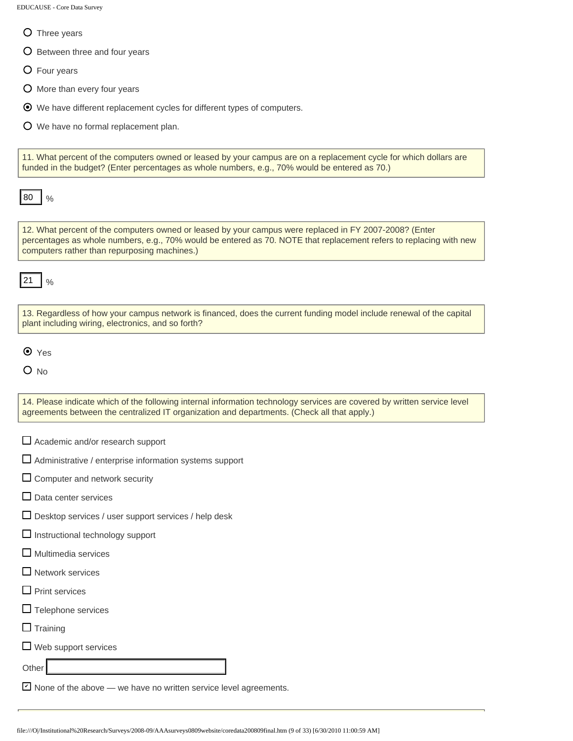- O Three years
- O Between three and four years
- Four years
- O More than every four years
- We have different replacement cycles for different types of computers.
- We have no formal replacement plan.

11. What percent of the computers owned or leased by your campus are on a replacement cycle for which dollars are funded in the budget? (Enter percentages as whole numbers, e.g., 70% would be entered as 70.)

 $\frac{0}{0}$ 

12. What percent of the computers owned or leased by your campus were replaced in FY 2007-2008? (Enter percentages as whole numbers, e.g., 70% would be entered as 70. NOTE that replacement refers to replacing with new computers rather than repurposing machines.) **Fig. 1980**<br> **Fig. What percent of the computers covered or lessed by your campus were replaced in FY 2002<br>
percentage as whole numbers, e.g., 70% would be entered as 70. NOTE that replacement to<br>
computers atheir than rep** 

 $\frac{0}{0}$ 

| 13. Regardless of how your campus network is financed, does the current funding model include renewal of the capital |  |
|----------------------------------------------------------------------------------------------------------------------|--|
| plant including wiring, electronics, and so forth?                                                                   |  |

O Yes

 $O$  No

14. Please indicate which of the following internal information technology services are covered by written service level agreements between the centralized IT organization and departments. (Check all that apply.)

- $\Box$  Academic and/or research support
- $\Box$  Administrative / enterprise information systems support

 $\square$  Computer and network security

- $\Box$  Data center services
- $\square$  Desktop services / user support services / help desk
- $\Box$  Instructional technology support
- $\Box$  Multimedia services
- $\Box$  Network services
- $\Box$  Print services
- $\Box$  Telephone services
- $\square$  Training

 $\Box$  Web support services

**Other** 

 $\triangleright$  None of the above — we have no written service level agreements.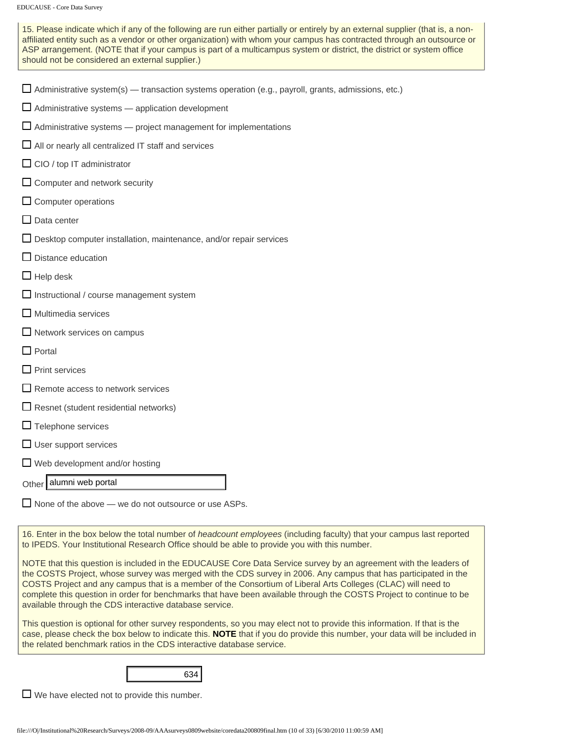15. Please indicate which if any of the following are run either partially or entirely by an external supplier (that is, a nonaffiliated entity such as a vendor or other organization) with whom your campus has contracted through an outsource or ASP arrangement. (NOTE that if your campus is part of a multicampus system or district, the district or system office should not be considered an external supplier.)

|  | $\Box$ Administrative system(s) — transaction systems operation (e.g., payroll, grants, admissions, etc.) |  |  |  |  |
|--|-----------------------------------------------------------------------------------------------------------|--|--|--|--|
|--|-----------------------------------------------------------------------------------------------------------|--|--|--|--|

- $\Box$  Administrative systems  $-$  application development
- $\Box$  Administrative systems  $-$  project management for implementations
- $\Box$  All or nearly all centralized IT staff and services
- $\Box$  CIO / top IT administrator
- $\Box$  Computer and network security
- $\square$  Computer operations
- $\square$  Data center
- $\Box$  Desktop computer installation, maintenance, and/or repair services
- $\Box$  Distance education
- $\Box$  Help desk
- $\Box$  Instructional / course management system
- $\Box$  Multimedia services
- Network services on campus
- $\Box$  Portal
- $\square$  Print services
- $\Box$  Remote access to network services
- $\Box$  Resnet (student residential networks)
- $\Box$  Telephone services
- $\Box$  User support services
- $\Box$  Web development and/or hosting

#### Other alumni web portal

 $\Box$  None of the above — we do not outsource or use ASPs.

16. Enter in the box below the total number of *headcount employees* (including faculty) that your campus last reported to IPEDS. Your Institutional Research Office should be able to provide you with this number.

NOTE that this question is included in the EDUCAUSE Core Data Service survey by an agreement with the leaders of the COSTS Project, whose survey was merged with the CDS survey in 2006. Any campus that has participated in the COSTS Project and any campus that is a member of the Consortium of Liberal Arts Colleges (CLAC) will need to complete this question in order for benchmarks that have been available through the COSTS Project to continue to be available through the CDS interactive database service. Other **alumni web portal**<br>
16. **Enter in the box below the total number of** *headcount employees* **(including faculty) that you<br>
to IPEDS. Your Institutional Research Office should be able to provide you with this number.<br>** 

This question is optional for other survey respondents, so you may elect not to provide this information. If that is the case, please check the box below to indicate this. **NOTE** that if you do provide this number, your data will be included in the related benchmark ratios in the CDS interactive database service.



 $\Box$  We have elected not to provide this number.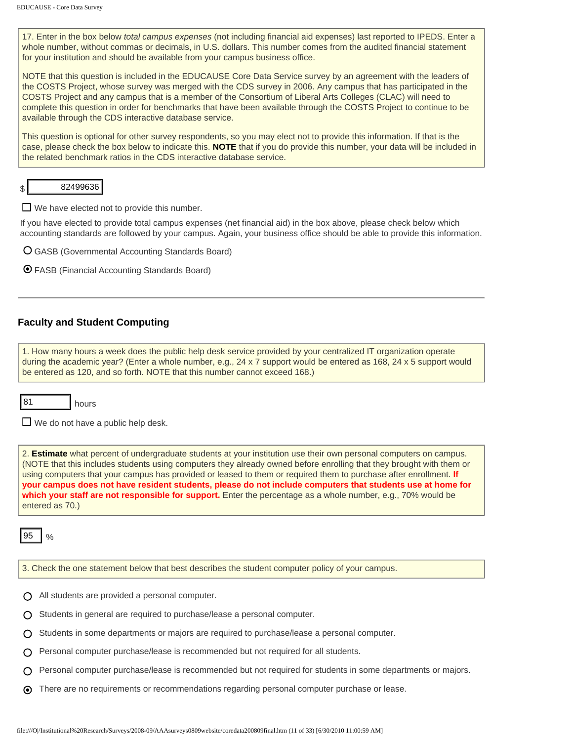17. Enter in the box below *total campus expenses* (not including financial aid expenses) last reported to IPEDS. Enter a whole number, without commas or decimals, in U.S. dollars. This number comes from the audited financial statement for your institution and should be available from your campus business office.

NOTE that this question is included in the EDUCAUSE Core Data Service survey by an agreement with the leaders of the COSTS Project, whose survey was merged with the CDS survey in 2006. Any campus that has participated in the COSTS Project and any campus that is a member of the Consortium of Liberal Arts Colleges (CLAC) will need to complete this question in order for benchmarks that have been available through the COSTS Project to continue to be available through the CDS interactive database service.

This question is optional for other survey respondents, so you may elect not to provide this information. If that is the case, please check the box below to indicate this. **NOTE** that if you do provide this number, your data will be included in the related benchmark ratios in the CDS interactive database service.

\$

 $\Box$  We have elected not to provide this number.

If you have elected to provide total campus expenses (net financial aid) in the box above, please check below which accounting standards are followed by your campus. Again, your business office should be able to provide this information.

- GASB (Governmental Accounting Standards Board)
- FASB (Financial Accounting Standards Board)

#### **Faculty and Student Computing**

1. How many hours a week does the public help desk service provided by your centralized IT organization operate during the academic year? (Enter a whole number, e.g., 24 x 7 support would be entered as 168, 24 x 5 support would be entered as 120, and so forth. NOTE that this number cannot exceed 168.)

| ×<br>۰, |
|---------|
|---------|

 $\Box$  We do not have a public help desk.

hours

2. **Estimate** what percent of undergraduate students at your institution use their own personal computers on campus. (NOTE that this includes students using computers they already owned before enrolling that they brought with them or using computers that your campus has provided or leased to them or required them to purchase after enrollment. **If your campus does not have resident students, please do not include computers that students use at home for which your staff are not responsible for support.** Enter the percentage as a whole number, e.g., 70% would be entered as 70.) **EXAMPER CONTROL**<br>
If you have elected to provide total campus expenses (net financial aid) in the box above, please<br>
accounting standable are followed by your campus. Again, your business office should be able<br>
O GASB (Gr

 $\frac{0}{0}$ 

3. Check the one statement below that best describes the student computer policy of your campus.

- $\bigcap$  All students are provided a personal computer.
- $\bigcap$  Students in general are required to purchase/lease a personal computer.
- Students in some departments or majors are required to purchase/lease a personal computer.
- $\bigcap$  Personal computer purchase/lease is recommended but not required for all students.
- Personal computer purchase/lease is recommended but not required for students in some departments or majors.
- There are no requirements or recommendations regarding personal computer purchase or lease.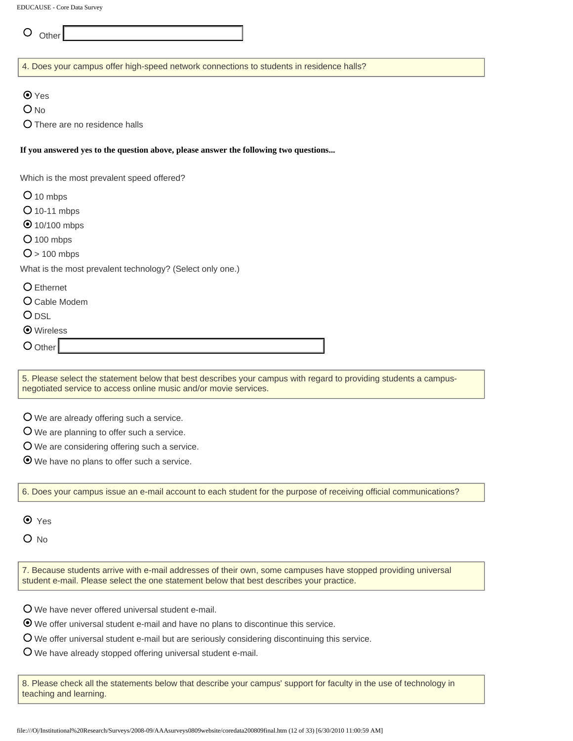$\circ$  Other

4. Does your campus offer high-speed network connections to students in residence halls?

**⊙**Yes

O<sub>No</sub>

There are no residence halls

#### **If you answered yes to the question above, please answer the following two questions...**

Which is the most prevalent speed offered?

O 10 mbps

- O 10-11 mbps
- **⊙** 10/100 mbps
- $O$  100 mbps

 $O > 100$  mbps

What is the most prevalent technology? (Select only one.)

Ethernet

Cable Modem

**O** DSL

- Wireless
- O Other

5. Please select the statement below that best describes your campus with regard to providing students a campusnegotiated service to access online music and/or movie services.

We are already offering such a service.

We are planning to offer such a service.

We are considering offering such a service.

We have no plans to offer such a service.

6. Does your campus issue an e-mail account to each student for the purpose of receiving official communications?

**⊙** Yes

 $O$  No

7. Because students arrive with e-mail addresses of their own, some campuses have stopped providing universal student e-mail. Please select the one statement below that best describes your practice.

We have never offered universal student e-mail.

We offer universal student e-mail and have no plans to discontinue this service.

We offer universal student e-mail but are seriously considering discontinuing this service.

We have already stopped offering universal student e-mail.

8. Please check all the statements below that describe your campus' support for faculty in the use of technology in teaching and learning.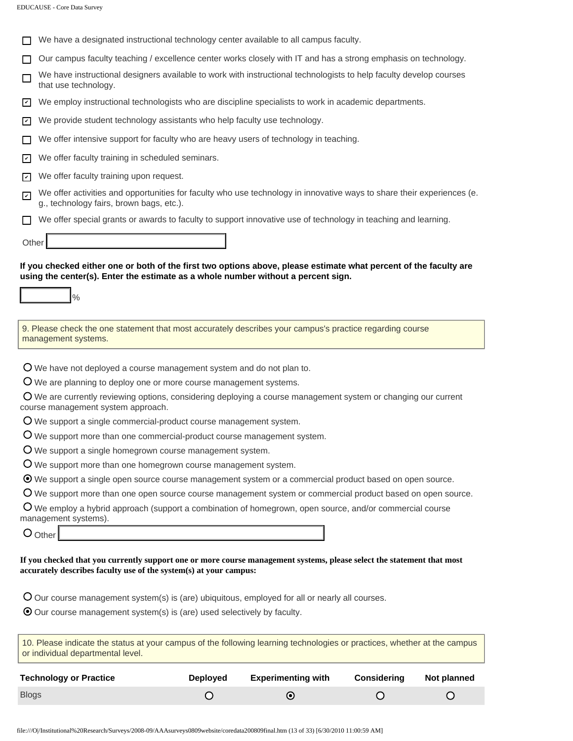|                 | <b>EDUCAUSE - Core Data Survey</b>                                                                                                                                                                     |
|-----------------|--------------------------------------------------------------------------------------------------------------------------------------------------------------------------------------------------------|
|                 |                                                                                                                                                                                                        |
|                 | We have a designated instructional technology center available to all campus faculty.                                                                                                                  |
|                 | Our campus faculty teaching / excellence center works closely with IT and has a strong emphasis on technology.                                                                                         |
| П               | We have instructional designers available to work with instructional technologists to help faculty develop courses<br>that use technology.                                                             |
| I۷              | We employ instructional technologists who are discipline specialists to work in academic departments.                                                                                                  |
| I۷              | We provide student technology assistants who help faculty use technology.                                                                                                                              |
|                 | We offer intensive support for faculty who are heavy users of technology in teaching.                                                                                                                  |
| $ \mathcal{V} $ | We offer faculty training in scheduled seminars.                                                                                                                                                       |
| I۷              | We offer faculty training upon request.                                                                                                                                                                |
| ☑               | We offer activities and opportunities for faculty who use technology in innovative ways to share their experiences (e.<br>g., technology fairs, brown bags, etc.).                                     |
| $\mathsf{L}$    | We offer special grants or awards to faculty to support innovative use of technology in teaching and learning.                                                                                         |
| Other           |                                                                                                                                                                                                        |
|                 |                                                                                                                                                                                                        |
|                 | If you checked either one or both of the first two options above, please estimate what percent of the faculty are<br>using the center(s). Enter the estimate as a whole number without a percent sign. |
|                 | $\frac{0}{0}$                                                                                                                                                                                          |
|                 |                                                                                                                                                                                                        |
|                 | 9. Please check the one statement that most accurately describes your campus's practice regarding course<br>management systems.                                                                        |
|                 |                                                                                                                                                                                                        |
|                 | O We have not deployed a course management system and do not plan to.<br>O We are planning to deploy one or more course management systems.                                                            |
|                 | $\overline{O}$ We are currently reviewing options, considering deploying a course management system or changing our current                                                                            |
|                 | course management system approach.                                                                                                                                                                     |
|                 | $O$ We support a single commercial-product course management system.                                                                                                                                   |
|                 | O We support more than one commercial-product course management system.                                                                                                                                |
|                 | O We support a single homegrown course management system.                                                                                                                                              |
|                 | O We support more than one homegrown course management system.                                                                                                                                         |
|                 | ⊙ We support a single open source course management system or a commercial product based on open source.                                                                                               |
|                 | O We support more than one open source course management system or commercial product based on open source.                                                                                            |
|                 | $\overline{O}$ We employ a hybrid approach (support a combination of homegrown, open source, and/or commercial course                                                                                  |
|                 | management systems).<br>$O$ Other                                                                                                                                                                      |
|                 |                                                                                                                                                                                                        |
|                 | If you checked that you currently support one or more course management systems, please select the statement that most<br>accurately describes faculty use of the system(s) at your campus:            |
|                 | $O$ Our course management system(s) is (are) ubiquitous, employed for all or nearly all courses.                                                                                                       |
|                 | $\odot$ Our course management system(s) is (are) used selectively by faculty.                                                                                                                          |
|                 |                                                                                                                                                                                                        |
|                 | 10. Please indicate the status at your campus of the following learning technologies or practices, whether at the campus                                                                               |

| or individual departmental level. |                 |                           |                    |             |
|-----------------------------------|-----------------|---------------------------|--------------------|-------------|
| <b>Technology or Practice</b>     | <b>Deployed</b> | <b>Experimenting with</b> | <b>Considering</b> | Not planned |
| <b>Blogs</b>                      |                 |                           |                    |             |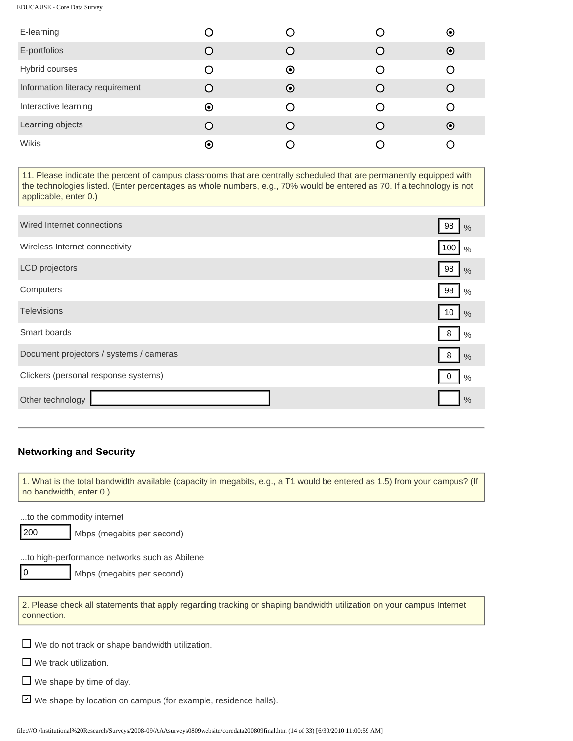| E-learning                       |                      |                      | $\odot$ |
|----------------------------------|----------------------|----------------------|---------|
| E-portfolios                     |                      |                      | $\odot$ |
| Hybrid courses                   | O                    | $\odot$              |         |
| Information literacy requirement | $\left( \right)$     | $\boldsymbol{\odot}$ |         |
| Interactive learning             | $\odot$              |                      |         |
| Learning objects                 | ∩                    |                      | $\odot$ |
| Wikis                            | $\boldsymbol{\odot}$ |                      |         |

11. Please indicate the percent of campus classrooms that are centrally scheduled that are permanently equipped with the technologies listed. (Enter percentages as whole numbers, e.g., 70% would be entered as 70. If a technology is not applicable, enter 0.)

| Wired Internet connections                                                                                                                                  | 98<br>$\frac{0}{0}$  |
|-------------------------------------------------------------------------------------------------------------------------------------------------------------|----------------------|
| Wireless Internet connectivity                                                                                                                              | 100<br>$\frac{0}{0}$ |
| LCD projectors                                                                                                                                              | 98<br>$\frac{0}{0}$  |
| Computers                                                                                                                                                   | 98<br>$\frac{0}{0}$  |
| <b>Televisions</b>                                                                                                                                          | 10<br>$\frac{0}{0}$  |
| Smart boards                                                                                                                                                | 8<br>$\frac{0}{0}$   |
| Document projectors / systems / cameras                                                                                                                     | 8<br>$\frac{0}{0}$   |
| Clickers (personal response systems)                                                                                                                        | 0<br>$\frac{0}{0}$   |
| Other technology                                                                                                                                            | $\frac{0}{0}$        |
|                                                                                                                                                             |                      |
| <b>Networking and Security</b><br>1. What is the total bandwidth available (capacity in megabits, e.g., a T1 would be entered as 1.5) from your campus? (If |                      |
| no bandwidth, enter 0.)                                                                                                                                     |                      |
| to the commodity internet<br>  200<br>Mbps (megabits per second)                                                                                            |                      |
| to high-performance networks such as Abilene                                                                                                                |                      |
| 10<br>Mbps (megabits per second)                                                                                                                            |                      |
| 2. Please check all statements that apply regarding tracking or shaping bandwidth utilization on your campus Internet<br>connection.                        |                      |
| $\Box$ We do not track or shape bandwidth utilization.                                                                                                      |                      |
| $\Box$ We track utilization.                                                                                                                                |                      |
| $\Box$ We shape by time of day.                                                                                                                             |                      |
| V We shape by location on campus (for example, residence halls).                                                                                            |                      |
| file:///O /Institutional%20Research/Surveys/2008-09/AAAsurveys0809website/coredata200809final.htm (14 of 33) [6/30/2010 11:00:59 AM]                        |                      |

#### **Networking and Security**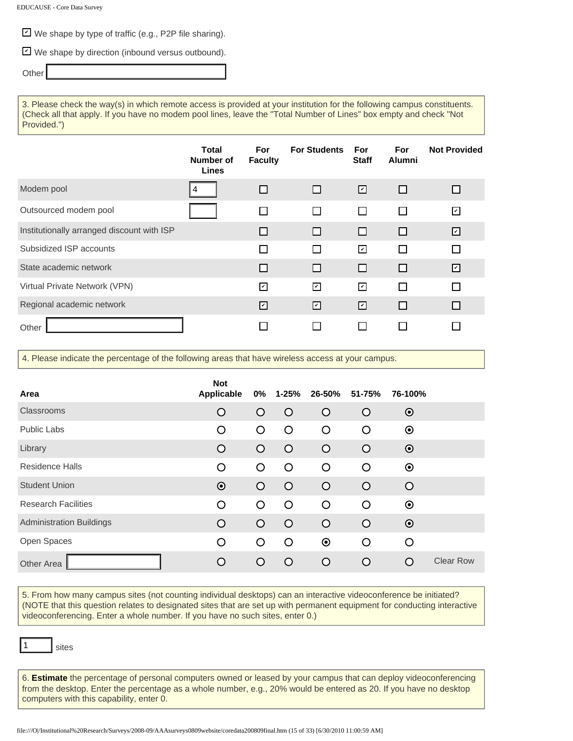⊻ We shape by type of traffic (e.g., P2P file sharing).

We shape by direction (inbound versus outbound). ✔

**Other** 

3. Please check the way(s) in which remote access is provided at your institution for the following campus constituents. (Check all that apply. If you have no modem pool lines, leave the "Total Number of Lines" box empty and check "Not Provided.")

|                                            | Total<br>Number of<br>Lines | For<br><b>Faculty</b> | <b>For Students</b> | For<br><b>Staff</b>     | <b>For</b><br><b>Alumni</b> | <b>Not Provided</b>      |
|--------------------------------------------|-----------------------------|-----------------------|---------------------|-------------------------|-----------------------------|--------------------------|
| Modem pool                                 |                             |                       |                     | 囜                       | П                           | □                        |
| Outsourced modem pool                      |                             |                       |                     | $\mathsf{L}$            | $\Box$                      | $\overline{\phantom{0}}$ |
| Institutionally arranged discount with ISP |                             |                       | $\mathbf{I}$        | $\Box$                  | $\Box$                      | ☑                        |
| Subsidized ISP accounts                    |                             |                       |                     | ☑                       | $\Box$                      | $\Box$                   |
| State academic network                     |                             |                       | П                   | ப                       | П                           | ☑                        |
| Virtual Private Network (VPN)              |                             | ाग                    | ☑                   | $\overline{\mathbf{v}}$ | П                           | П                        |
| Regional academic network                  |                             | ☑                     | ☑                   | ☑                       | П                           | □                        |
| Other                                      |                             |                       |                     |                         |                             |                          |

4. Please indicate the percentage of the following areas that have wireless access at your campus.

| Area                            | <b>Not</b><br>Applicable | 0%         | 1-25%      | 26-50%  | 51-75%     | 76-100% |                  |
|---------------------------------|--------------------------|------------|------------|---------|------------|---------|------------------|
| Classrooms                      | $\circ$                  | $\bigcirc$ | $\circ$    | $\circ$ | $\circ$    | $\odot$ |                  |
| <b>Public Labs</b>              | O                        | O          | O          | O       | $\circ$    | $\odot$ |                  |
| Library                         | $\circ$                  | $\bigcirc$ | $\circ$    | $\circ$ | $\circ$    | $\odot$ |                  |
| <b>Residence Halls</b>          | O                        | $\Omega$   | $\circ$    | O       | $\circ$    | $\odot$ |                  |
| <b>Student Union</b>            | $\odot$                  | $\bigcirc$ | $\circ$    | $\circ$ | $\circ$    | $\circ$ |                  |
| <b>Research Facilities</b>      | $\circ$                  | $\circ$    | $\circ$    | $\circ$ | O          | $\odot$ |                  |
| <b>Administration Buildings</b> | $\circ$                  | $\bigcirc$ | $\circ$    | $\circ$ | $\Omega$   | $\odot$ |                  |
| Open Spaces                     | O                        | $\circ$    | $\circ$    | $\odot$ | $\circ$    | $\circ$ |                  |
| Other Area                      | $\circ$                  | ∩          | $\bigcirc$ | O       | $\bigcirc$ | ∩       | <b>Clear Row</b> |

5. From how many campus sites (not counting individual desktops) can an interactive videoconference be initiated? (NOTE that this question relates to designated sites that are set up with permanent equipment for conducting interactive videoconferencing. Enter a whole number. If you have no such sites, enter 0.)

sites

1

6. **Estimate** the percentage of personal computers owned or leased by your campus that can deploy videoconferencing from the desktop. Enter the percentage as a whole number, e.g., 20% would be entered as 20. If you have no desktop computers with this capability, enter 0.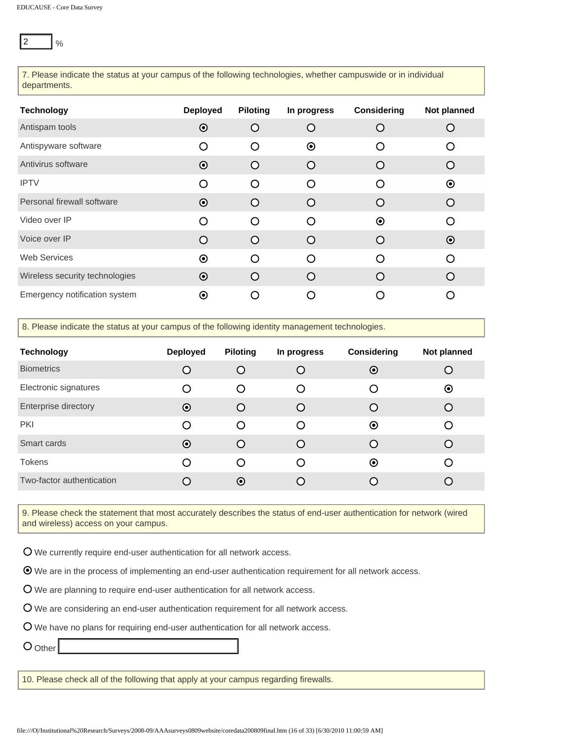| 7. Please indicate the status at your campus of the following technologies, whether campuswide or in individual<br>departments.                                                                                                                                                                                                                                            |                      |                      |                      |                      |             |
|----------------------------------------------------------------------------------------------------------------------------------------------------------------------------------------------------------------------------------------------------------------------------------------------------------------------------------------------------------------------------|----------------------|----------------------|----------------------|----------------------|-------------|
| <b>Technology</b>                                                                                                                                                                                                                                                                                                                                                          | <b>Deployed</b>      | <b>Piloting</b>      | In progress          | <b>Considering</b>   | Not planned |
| Antispam tools                                                                                                                                                                                                                                                                                                                                                             | $\odot$              | O                    | O                    | O                    | O           |
| Antispyware software                                                                                                                                                                                                                                                                                                                                                       | O                    | O                    | $\boldsymbol{\odot}$ | O                    | O           |
| Antivirus software                                                                                                                                                                                                                                                                                                                                                         | $\odot$              | O                    | $\circ$              | O                    | O           |
| <b>IPTV</b>                                                                                                                                                                                                                                                                                                                                                                | O                    | O                    | O                    | O                    | $\odot$     |
| Personal firewall software                                                                                                                                                                                                                                                                                                                                                 | $\odot$              | O                    | O                    | O                    | O           |
| Video over IP                                                                                                                                                                                                                                                                                                                                                              | O                    | O                    | O                    | $\odot$              | O           |
| Voice over IP                                                                                                                                                                                                                                                                                                                                                              | O                    | O                    | O                    | O                    | $\odot$     |
| <b>Web Services</b>                                                                                                                                                                                                                                                                                                                                                        | $\boldsymbol{\odot}$ | O                    | O                    | O                    | O           |
| Wireless security technologies                                                                                                                                                                                                                                                                                                                                             | $\odot$              | O                    | O                    | O                    | O           |
| Emergency notification system                                                                                                                                                                                                                                                                                                                                              | $\odot$              | O                    | O                    | O                    | O           |
| 8. Please indicate the status at your campus of the following identity management technologies.                                                                                                                                                                                                                                                                            |                      |                      |                      |                      |             |
| <b>Technology</b>                                                                                                                                                                                                                                                                                                                                                          | <b>Deployed</b>      | <b>Piloting</b>      | In progress          | <b>Considering</b>   | Not planned |
| <b>Biometrics</b>                                                                                                                                                                                                                                                                                                                                                          | O                    | O                    | O                    | $\odot$              | O           |
|                                                                                                                                                                                                                                                                                                                                                                            | O                    |                      | O                    | O                    | $\odot$     |
|                                                                                                                                                                                                                                                                                                                                                                            |                      | O                    |                      |                      |             |
|                                                                                                                                                                                                                                                                                                                                                                            | $\odot$              | O                    | O                    | O                    | O           |
| <b>PKI</b>                                                                                                                                                                                                                                                                                                                                                                 | O                    | O                    | O                    | $\boldsymbol{\odot}$ | O           |
|                                                                                                                                                                                                                                                                                                                                                                            | $\boldsymbol{\odot}$ | O                    | O                    | O                    | O           |
| <b>Tokens</b>                                                                                                                                                                                                                                                                                                                                                              | O                    | O                    | O                    | $\boldsymbol{\odot}$ | O           |
| Electronic signatures<br>Enterprise directory<br>Smart cards<br>Two-factor authentication                                                                                                                                                                                                                                                                                  | O                    | $\boldsymbol{\odot}$ | O                    | O                    | O           |
| 9. Please check the statement that most accurately describes the status of end-user authentication for network (wired<br>and wireless) access on your campus.                                                                                                                                                                                                              |                      |                      |                      |                      |             |
| $\overline{O}$ We currently require end-user authentication for all network access.<br>$\odot$ We are in the process of implementing an end-user authentication requirement for all network access.<br>O We are planning to require end-user authentication for all network access.<br>O We are considering an end-user authentication requirement for all network access. |                      |                      |                      |                      |             |
| O We have no plans for requiring end-user authentication for all network access.<br>$O_{Other}$                                                                                                                                                                                                                                                                            |                      |                      |                      |                      |             |

| <b>Technology</b>         | <b>Deployed</b> | <b>Piloting</b> | In progress      | <b>Considering</b> | Not planned |
|---------------------------|-----------------|-----------------|------------------|--------------------|-------------|
| <b>Biometrics</b>         | O               | Ω               |                  | $\odot$            | O           |
| Electronic signatures     | O               | O               | $\left($         | O                  | ◉           |
| Enterprise directory      | $\odot$         | ∩               |                  | $\circ$            | $\bigcirc$  |
| <b>PKI</b>                | O               | ◯               | $\left( \right)$ | $\odot$            | O           |
| Smart cards               | $\odot$         | $\subset$       |                  | $\bigcirc$         |             |
| <b>Tokens</b>             | ∩               | ∩               | ∩                | $\odot$            | ∩           |
| Two-factor authentication | $\circ$         | $\odot$         |                  | $\left($ $\right)$ |             |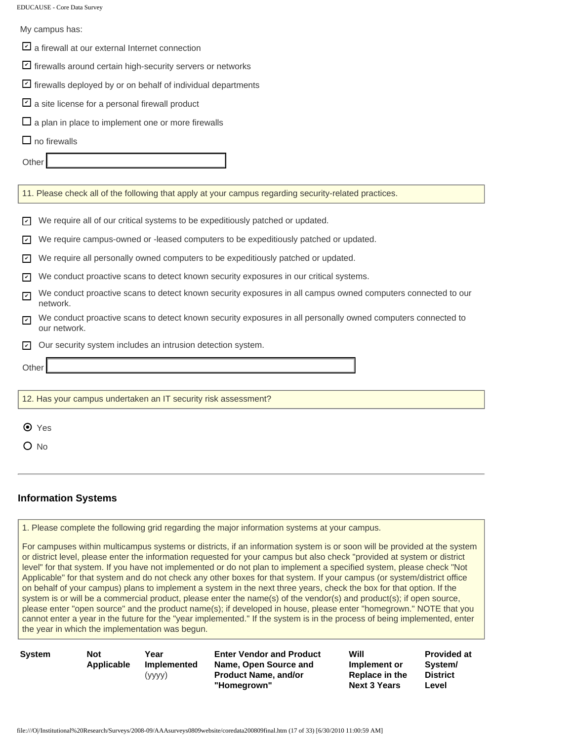| My campus has:                                                                                                                                          |
|---------------------------------------------------------------------------------------------------------------------------------------------------------|
| $\Box$ a firewall at our external Internet connection                                                                                                   |
| Firewalls around certain high-security servers or networks                                                                                              |
| $\Box$ firewalls deployed by or on behalf of individual departments                                                                                     |
| $\Box$ a site license for a personal firewall product                                                                                                   |
| $\Box$ a plan in place to implement one or more firewalls                                                                                               |
| $\Box$ no firewalls                                                                                                                                     |
| Other                                                                                                                                                   |
| 11. Please check all of the following that apply at your campus regarding security-related practices.                                                   |
| We require all of our critical systems to be expeditiously patched or updated.<br>$\checkmark$                                                          |
| We require campus-owned or -leased computers to be expeditiously patched or updated.<br>$\overline{\mathbf{v}}$                                         |
| We require all personally owned computers to be expeditiously patched or updated.<br>$\vert\mathbf{v}\vert$                                             |
| We conduct proactive scans to detect known security exposures in our critical systems.<br>$\vert\mathbf{v}\vert$                                        |
| We conduct proactive scans to detect known security exposures in all campus owned computers connected to our<br>$\blacktriangledown$<br>network.        |
| We conduct proactive scans to detect known security exposures in all personally owned computers connected to<br>$\overline{\mathbf{v}}$<br>our network. |
| Our security system includes an intrusion detection system.<br>☑                                                                                        |
| Other                                                                                                                                                   |
|                                                                                                                                                         |
| 12. Has your campus undertaken an IT security risk assessment?                                                                                          |
| $\bullet$ Yes                                                                                                                                           |
| O No                                                                                                                                                    |
|                                                                                                                                                         |

# **Information Systems**

1. Please complete the following grid regarding the major information systems at your campus.

For campuses within multicampus systems or districts, if an information system is or soon will be provided at the system or district level, please enter the information requested for your campus but also check "provided at system or district level" for that system. If you have not implemented or do not plan to implement a specified system, please check "Not Applicable" for that system and do not check any other boxes for that system. If your campus (or system/district office on behalf of your campus) plans to implement a system in the next three years, check the box for that option. If the system is or will be a commercial product, please enter the name(s) of the vendor(s) and product(s); if open source, please enter "open source" and the product name(s); if developed in house, please enter "homegrown." NOTE that you cannot enter a year in the future for the "year implemented." If the system is in the process of being implemented, enter the year in which the implementation was begun.

| System | Not        |
|--------|------------|
|        | Applicable |
|        |            |

**Year Implemented** (yyyy)

**Enter Vendor and Product Name, Open Source and Product Name, and/or "Homegrown"**

| Will                | <b>Provided at</b> |
|---------------------|--------------------|
| Implement or        | System/            |
| Replace in the      | <b>District</b>    |
| <b>Next 3 Years</b> | Level              |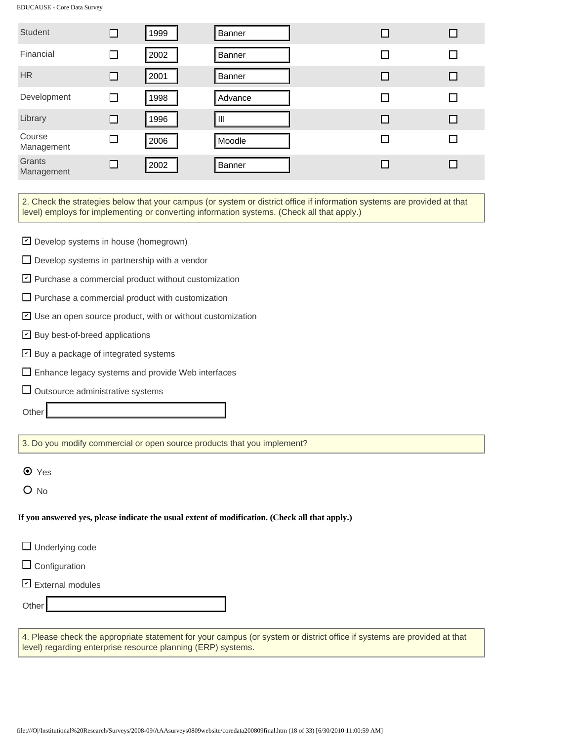| <b>Student</b>                                                             | □      | 1999 | Banner                                                                                                                                                                                                                 | □  | $\Box$ |
|----------------------------------------------------------------------------|--------|------|------------------------------------------------------------------------------------------------------------------------------------------------------------------------------------------------------------------------|----|--------|
| Financial                                                                  | $\Box$ | 2002 | Banner                                                                                                                                                                                                                 |    | □      |
| <b>HR</b>                                                                  | □      | 2001 | Banner                                                                                                                                                                                                                 | □  | □      |
| Development                                                                | $\Box$ | 1998 | Advance                                                                                                                                                                                                                | ΙI | □      |
| Library                                                                    | □      | 1996 | IШ                                                                                                                                                                                                                     | □  | □      |
| Course<br>Management                                                       | $\Box$ | 2006 | Moodle                                                                                                                                                                                                                 | ΙI | $\Box$ |
| Grants<br>Management                                                       | □      | 2002 | Banner                                                                                                                                                                                                                 | □  | □      |
|                                                                            |        |      | 2. Check the strategies below that your campus (or system or district office if information systems are provided at that<br>level) employs for implementing or converting information systems. (Check all that apply.) |    |        |
| Develop systems in house (homegrown)                                       |        |      |                                                                                                                                                                                                                        |    |        |
| $\Box$ Develop systems in partnership with a vendor                        |        |      |                                                                                                                                                                                                                        |    |        |
| $\triangleright$ Purchase a commercial product without customization       |        |      |                                                                                                                                                                                                                        |    |        |
| $\Box$ Purchase a commercial product with customization                    |        |      |                                                                                                                                                                                                                        |    |        |
| $\triangleright$ Use an open source product, with or without customization |        |      |                                                                                                                                                                                                                        |    |        |
| ☑ Buy best-of-breed applications                                           |        |      |                                                                                                                                                                                                                        |    |        |
| $\triangleright$ Buy a package of integrated systems                       |        |      |                                                                                                                                                                                                                        |    |        |
| Enhance legacy systems and provide Web interfaces<br>ш                     |        |      |                                                                                                                                                                                                                        |    |        |
| $\Box$ Outsource administrative systems                                    |        |      |                                                                                                                                                                                                                        |    |        |
| Other                                                                      |        |      |                                                                                                                                                                                                                        |    |        |
|                                                                            |        |      | 3. Do you modify commercial or open source products that you implement?                                                                                                                                                |    |        |
| $\odot$ Yes                                                                |        |      |                                                                                                                                                                                                                        |    |        |
| $O$ No                                                                     |        |      |                                                                                                                                                                                                                        |    |        |
|                                                                            |        |      | If you answered yes, please indicate the usual extent of modification. (Check all that apply.)                                                                                                                         |    |        |
| $\Box$ Underlying code                                                     |        |      |                                                                                                                                                                                                                        |    |        |
| $\Box$ Configuration                                                       |        |      |                                                                                                                                                                                                                        |    |        |
| $\Box$ External modules                                                    |        |      |                                                                                                                                                                                                                        |    |        |
| Other                                                                      |        |      |                                                                                                                                                                                                                        |    |        |
| level) regarding enterprise resource planning (ERP) systems.               |        |      | 4. Please check the appropriate statement for your campus (or system or district office if systems are provided at that                                                                                                |    |        |
|                                                                            |        |      |                                                                                                                                                                                                                        |    |        |
|                                                                            |        |      |                                                                                                                                                                                                                        |    |        |
|                                                                            |        |      | file:///O /Institutional%20Research/Surveys/2008-09/AAAsurveys0809website/coredata200809final.htm (18 of 33) [6/30/2010 11:00:59 AM]                                                                                   |    |        |

- **⊴** Buy best-of-breed applications
- **⊴** Buy a package of integrated systems
- $\Box$  Enhance legacy systems and provide Web interfaces
- $\Box$  Outsource administrative systems

|  | $\Box$ Underlying code |  |
|--|------------------------|--|
|--|------------------------|--|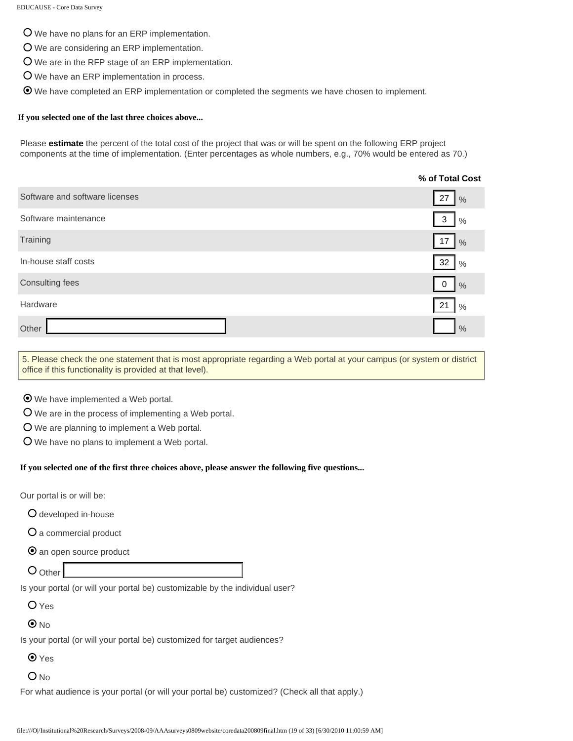We have no plans for an ERP implementation.

- We are considering an ERP implementation.
- We are in the RFP stage of an ERP implementation.
- We have an ERP implementation in process.

We have completed an ERP implementation or completed the segments we have chosen to implement.

#### **If you selected one of the last three choices above...**

Please **estimate** the percent of the total cost of the project that was or will be spent on the following ERP project components at the time of implementation. (Enter percentages as whole numbers, e.g., 70% would be entered as 70.)

|                                                                                                                                                                                                                                                                                                   | % of Total Cost                            |
|---------------------------------------------------------------------------------------------------------------------------------------------------------------------------------------------------------------------------------------------------------------------------------------------------|--------------------------------------------|
| Software and software licenses                                                                                                                                                                                                                                                                    | 27<br>$\frac{0}{0}$                        |
| Software maintenance                                                                                                                                                                                                                                                                              | $\ensuremath{\mathsf{3}}$<br>$\frac{0}{0}$ |
| Training                                                                                                                                                                                                                                                                                          | 17<br>$\frac{0}{0}$                        |
| In-house staff costs                                                                                                                                                                                                                                                                              | 32<br>$\frac{0}{0}$                        |
| Consulting fees                                                                                                                                                                                                                                                                                   | 0<br>$\frac{0}{0}$                         |
| Hardware                                                                                                                                                                                                                                                                                          | 21<br>$\frac{0}{0}$                        |
| Other                                                                                                                                                                                                                                                                                             | $\frac{0}{0}$                              |
| 5. Please check the one statement that is most appropriate regarding a Web portal at your campus (or system or district<br>office if this functionality is provided at that level).                                                                                                               |                                            |
| ⊙ We have implemented a Web portal.<br>O We are in the process of implementing a Web portal.<br>O We are planning to implement a Web portal.<br>O We have no plans to implement a Web portal.<br>If you selected one of the first three choices above, please answer the following five questions |                                            |
| Our portal is or will be:                                                                                                                                                                                                                                                                         |                                            |
| O developed in-house                                                                                                                                                                                                                                                                              |                                            |
| O a commercial product                                                                                                                                                                                                                                                                            |                                            |
| <b>O</b> an open source product                                                                                                                                                                                                                                                                   |                                            |
| $O$ Other                                                                                                                                                                                                                                                                                         |                                            |
| Is your portal (or will your portal be) customizable by the individual user?                                                                                                                                                                                                                      |                                            |
| O Yes                                                                                                                                                                                                                                                                                             |                                            |
| $\odot$ No                                                                                                                                                                                                                                                                                        |                                            |
| Is your portal (or will your portal be) customized for target audiences?                                                                                                                                                                                                                          |                                            |
| $\odot$ Yes                                                                                                                                                                                                                                                                                       |                                            |
| $O$ <sub>No</sub>                                                                                                                                                                                                                                                                                 |                                            |
| For what audience is your portal (or will your portal be) customized? (Check all that apply.)                                                                                                                                                                                                     |                                            |
| file:///O /Institutional%20Research/Surveys/2008-09/AAAsurveys0809website/coredata200809final.htm (19 of 33) [6/30/2010 11:00:59 AM]                                                                                                                                                              |                                            |

#### **If you selected one of the first three choices above, please answer the following five questions...**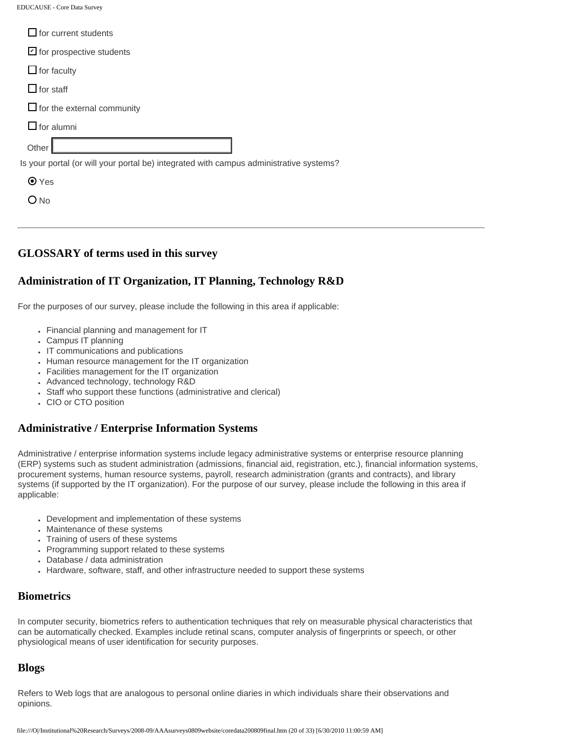| $\Box$ for current students                                                            |
|----------------------------------------------------------------------------------------|
| $\triangleright$ for prospective students                                              |
| $\Box$ for faculty                                                                     |
| $\Box$ for staff                                                                       |
| $\Box$ for the external community                                                      |
| $\Box$ for alumni                                                                      |
| Other                                                                                  |
| Is your portal (or will your portal be) integrated with campus administrative systems? |
| $\odot$ Yes                                                                            |
| <b>No</b>                                                                              |
|                                                                                        |

#### **GLOSSARY of terms used in this survey**

# **Administration of IT Organization, IT Planning, Technology R&D**

For the purposes of our survey, please include the following in this area if applicable:

- Financial planning and management for IT
- Campus IT planning
- IT communications and publications
- Human resource management for the IT organization
- Facilities management for the IT organization
- Advanced technology, technology R&D
- Staff who support these functions (administrative and clerical)
- CIO or CTO position

#### **Administrative / Enterprise Information Systems**

Administrative / enterprise information systems include legacy administrative systems or enterprise resource planning (ERP) systems such as student administration (admissions, financial aid, registration, etc.), financial information systems, procurement systems, human resource systems, payroll, research administration (grants and contracts), and library systems (if supported by the IT organization). For the purpose of our survey, please include the following in this area if applicable:

- Development and implementation of these systems
- Maintenance of these systems
- Training of users of these systems
- Programming support related to these systems
- Database / data administration
- Hardware, software, staff, and other infrastructure needed to support these systems

#### **Biometrics**

In computer security, biometrics refers to authentication techniques that rely on measurable physical characteristics that can be automatically checked. Examples include retinal scans, computer analysis of fingerprints or speech, or other physiological means of user identification for security purposes.

#### **Blogs**

Refers to Web logs that are analogous to personal online diaries in which individuals share their observations and opinions.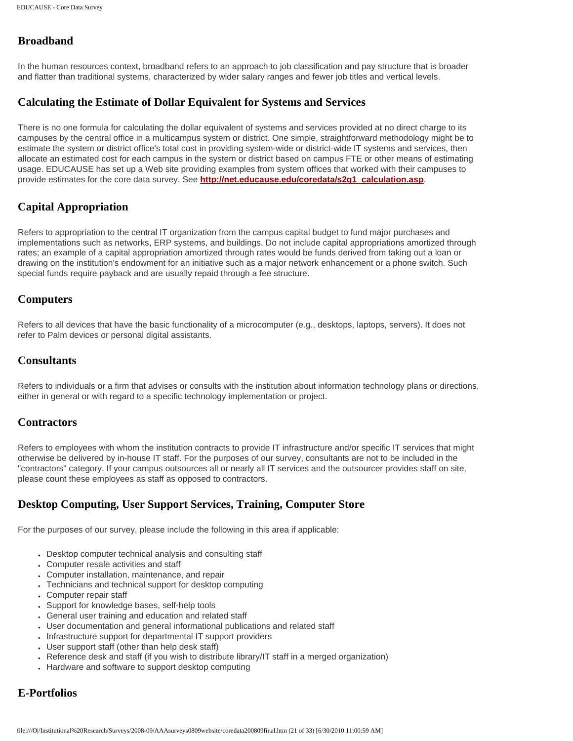# **Broadband**

In the human resources context, broadband refers to an approach to job classification and pay structure that is broader and flatter than traditional systems, characterized by wider salary ranges and fewer job titles and vertical levels.

#### **Calculating the Estimate of Dollar Equivalent for Systems and Services**

There is no one formula for calculating the dollar equivalent of systems and services provided at no direct charge to its campuses by the central office in a multicampus system or district. One simple, straightforward methodology might be to estimate the system or district office's total cost in providing system-wide or district-wide IT systems and services, then allocate an estimated cost for each campus in the system or district based on campus FTE or other means of estimating usage. EDUCAUSE has set up a Web site providing examples from system offices that worked with their campuses to provide estimates for the core data survey. See **[http://net.educause.edu/coredata/s2q1\\_calculation.asp](http://net.educause.edu/coredata/s2q1_calculation.asp)**.

## **Capital Appropriation**

Refers to appropriation to the central IT organization from the campus capital budget to fund major purchases and implementations such as networks, ERP systems, and buildings. Do not include capital appropriations amortized through rates; an example of a capital appropriation amortized through rates would be funds derived from taking out a loan or drawing on the institution's endowment for an initiative such as a major network enhancement or a phone switch. Such special funds require payback and are usually repaid through a fee structure.

#### **Computers**

Refers to all devices that have the basic functionality of a microcomputer (e.g., desktops, laptops, servers). It does not refer to Palm devices or personal digital assistants.

#### **Consultants**

Refers to individuals or a firm that advises or consults with the institution about information technology plans or directions, either in general or with regard to a specific technology implementation or project.

#### **Contractors**

Refers to employees with whom the institution contracts to provide IT infrastructure and/or specific IT services that might otherwise be delivered by in-house IT staff. For the purposes of our survey, consultants are not to be included in the "contractors" category. If your campus outsources all or nearly all IT services and the outsourcer provides staff on site, please count these employees as staff as opposed to contractors.

## **Desktop Computing, User Support Services, Training, Computer Store**

For the purposes of our survey, please include the following in this area if applicable:

- Desktop computer technical analysis and consulting staff
- Computer resale activities and staff
- Computer installation, maintenance, and repair
- Technicians and technical support for desktop computing
- Computer repair staff
- Support for knowledge bases, self-help tools
- General user training and education and related staff
- User documentation and general informational publications and related staff
- Infrastructure support for departmental IT support providers
- User support staff (other than help desk staff)
- Reference desk and staff (if you wish to distribute library/IT staff in a merged organization)
- Hardware and software to support desktop computing

# **E-Portfolios**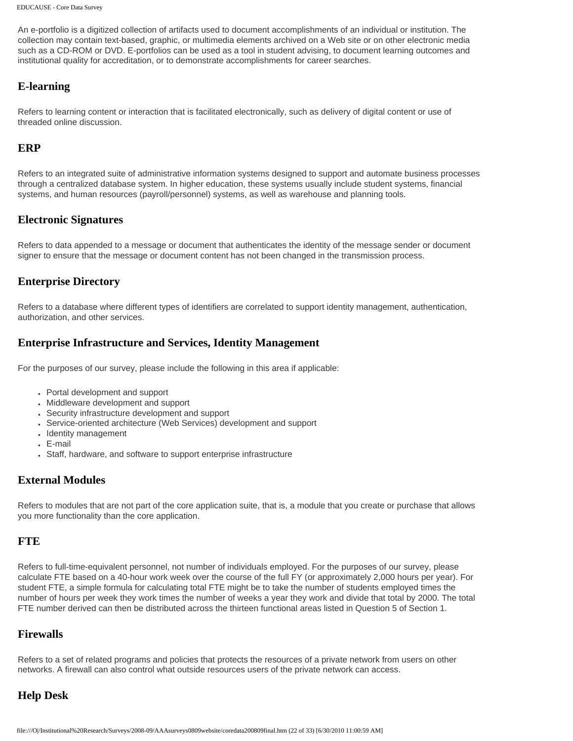An e-portfolio is a digitized collection of artifacts used to document accomplishments of an individual or institution. The collection may contain text-based, graphic, or multimedia elements archived on a Web site or on other electronic media such as a CD-ROM or DVD. E-portfolios can be used as a tool in student advising, to document learning outcomes and institutional quality for accreditation, or to demonstrate accomplishments for career searches.

#### **E-learning**

Refers to learning content or interaction that is facilitated electronically, such as delivery of digital content or use of threaded online discussion.

#### **ERP**

Refers to an integrated suite of administrative information systems designed to support and automate business processes through a centralized database system. In higher education, these systems usually include student systems, financial systems, and human resources (payroll/personnel) systems, as well as warehouse and planning tools.

#### **Electronic Signatures**

Refers to data appended to a message or document that authenticates the identity of the message sender or document signer to ensure that the message or document content has not been changed in the transmission process.

#### **Enterprise Directory**

Refers to a database where different types of identifiers are correlated to support identity management, authentication, authorization, and other services.

#### **Enterprise Infrastructure and Services, Identity Management**

For the purposes of our survey, please include the following in this area if applicable:

- Portal development and support
- Middleware development and support
- Security infrastructure development and support
- Service-oriented architecture (Web Services) development and support
- Identity management
- E-mail
- Staff, hardware, and software to support enterprise infrastructure

#### **External Modules**

Refers to modules that are not part of the core application suite, that is, a module that you create or purchase that allows you more functionality than the core application.

#### **FTE**

Refers to full-time-equivalent personnel, not number of individuals employed. For the purposes of our survey, please calculate FTE based on a 40-hour work week over the course of the full FY (or approximately 2,000 hours per year). For student FTE, a simple formula for calculating total FTE might be to take the number of students employed times the number of hours per week they work times the number of weeks a year they work and divide that total by 2000. The total FTE number derived can then be distributed across the thirteen functional areas listed in Question 5 of Section 1.

#### **Firewalls**

Refers to a set of related programs and policies that protects the resources of a private network from users on other networks. A firewall can also control what outside resources users of the private network can access.

## **Help Desk**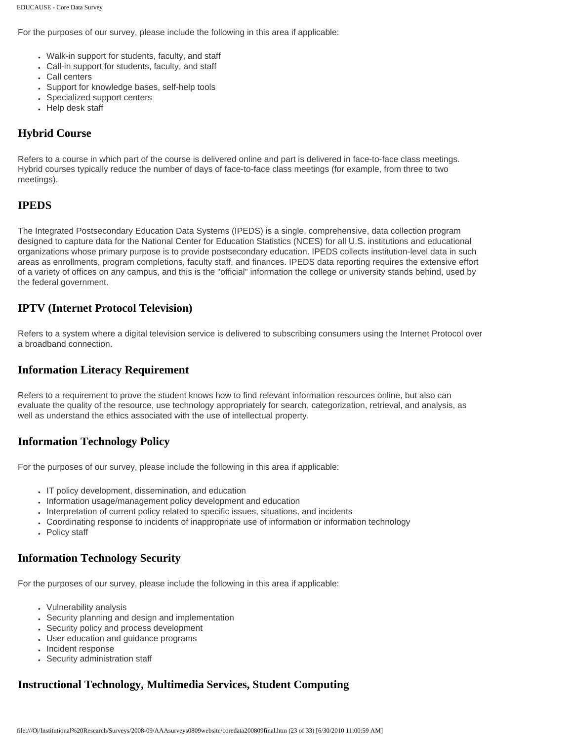For the purposes of our survey, please include the following in this area if applicable:

- Walk-in support for students, faculty, and staff
- Call-in support for students, faculty, and staff
- Call centers
- Support for knowledge bases, self-help tools
- Specialized support centers
- Help desk staff

# **Hybrid Course**

Refers to a course in which part of the course is delivered online and part is delivered in face-to-face class meetings. Hybrid courses typically reduce the number of days of face-to-face class meetings (for example, from three to two meetings).

#### **IPEDS**

The Integrated Postsecondary Education Data Systems (IPEDS) is a single, comprehensive, data collection program designed to capture data for the National Center for Education Statistics (NCES) for all U.S. institutions and educational organizations whose primary purpose is to provide postsecondary education. IPEDS collects institution-level data in such areas as enrollments, program completions, faculty staff, and finances. IPEDS data reporting requires the extensive effort of a variety of offices on any campus, and this is the "official" information the college or university stands behind, used by the federal government.

## **IPTV (Internet Protocol Television)**

Refers to a system where a digital television service is delivered to subscribing consumers using the Internet Protocol over a broadband connection.

#### **Information Literacy Requirement**

Refers to a requirement to prove the student knows how to find relevant information resources online, but also can evaluate the quality of the resource, use technology appropriately for search, categorization, retrieval, and analysis, as well as understand the ethics associated with the use of intellectual property.

## **Information Technology Policy**

For the purposes of our survey, please include the following in this area if applicable:

- IT policy development, dissemination, and education
- Information usage/management policy development and education
- Interpretation of current policy related to specific issues, situations, and incidents
- Coordinating response to incidents of inappropriate use of information or information technology
- Policy staff

# **Information Technology Security**

For the purposes of our survey, please include the following in this area if applicable:

- Vulnerability analysis
- Security planning and design and implementation
- Security policy and process development
- User education and guidance programs
- Incident response
- Security administration staff

# **Instructional Technology, Multimedia Services, Student Computing**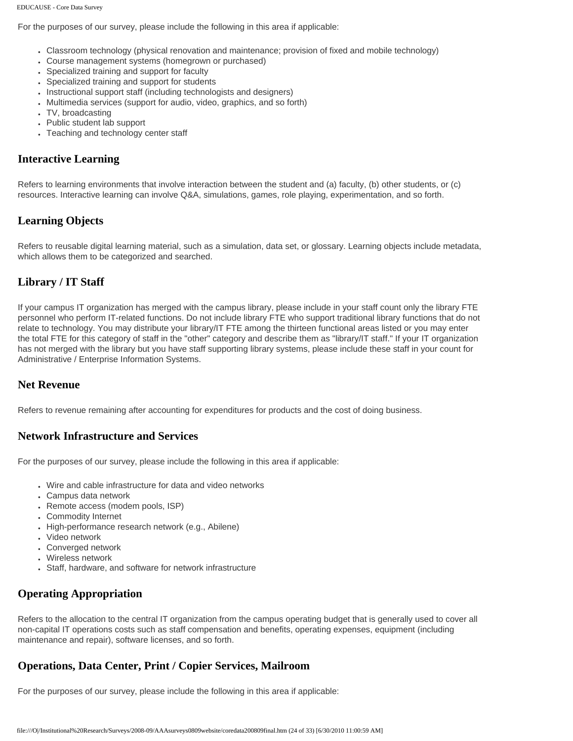For the purposes of our survey, please include the following in this area if applicable:

- Classroom technology (physical renovation and maintenance; provision of fixed and mobile technology)
- Course management systems (homegrown or purchased)
- Specialized training and support for faculty
- Specialized training and support for students
- . Instructional support staff (including technologists and designers)
- Multimedia services (support for audio, video, graphics, and so forth)
- TV, broadcasting
- Public student lab support
- Teaching and technology center staff

#### **Interactive Learning**

Refers to learning environments that involve interaction between the student and (a) faculty, (b) other students, or (c) resources. Interactive learning can involve Q&A, simulations, games, role playing, experimentation, and so forth.

#### **Learning Objects**

Refers to reusable digital learning material, such as a simulation, data set, or glossary. Learning objects include metadata, which allows them to be categorized and searched.

## **Library / IT Staff**

If your campus IT organization has merged with the campus library, please include in your staff count only the library FTE personnel who perform IT-related functions. Do not include library FTE who support traditional library functions that do not relate to technology. You may distribute your library/IT FTE among the thirteen functional areas listed or you may enter the total FTE for this category of staff in the "other" category and describe them as "library/IT staff." If your IT organization has not merged with the library but you have staff supporting library systems, please include these staff in your count for Administrative / Enterprise Information Systems.

#### **Net Revenue**

Refers to revenue remaining after accounting for expenditures for products and the cost of doing business.

#### **Network Infrastructure and Services**

For the purposes of our survey, please include the following in this area if applicable:

- Wire and cable infrastructure for data and video networks
- Campus data network
- Remote access (modem pools, ISP)
- Commodity Internet
- High-performance research network (e.g., Abilene)
- Video network
- Converged network
- Wireless network
- Staff, hardware, and software for network infrastructure

# **Operating Appropriation**

Refers to the allocation to the central IT organization from the campus operating budget that is generally used to cover all non-capital IT operations costs such as staff compensation and benefits, operating expenses, equipment (including maintenance and repair), software licenses, and so forth.

## **Operations, Data Center, Print / Copier Services, Mailroom**

For the purposes of our survey, please include the following in this area if applicable: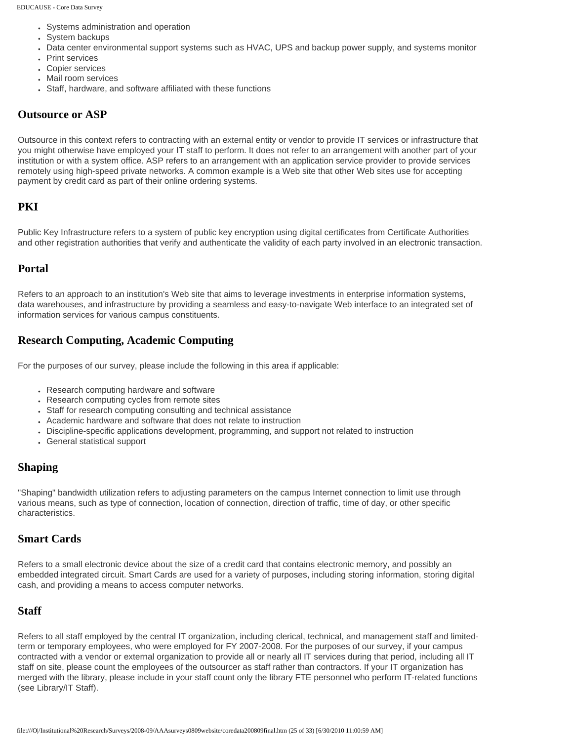- Systems administration and operation
- System backups
- Data center environmental support systems such as HVAC, UPS and backup power supply, and systems monitor
- Print services
- Copier services
- Mail room services
- Staff, hardware, and software affiliated with these functions

#### **Outsource or ASP**

Outsource in this context refers to contracting with an external entity or vendor to provide IT services or infrastructure that you might otherwise have employed your IT staff to perform. It does not refer to an arrangement with another part of your institution or with a system office. ASP refers to an arrangement with an application service provider to provide services remotely using high-speed private networks. A common example is a Web site that other Web sites use for accepting payment by credit card as part of their online ordering systems.

#### **PKI**

Public Key Infrastructure refers to a system of public key encryption using digital certificates from Certificate Authorities and other registration authorities that verify and authenticate the validity of each party involved in an electronic transaction.

#### **Portal**

Refers to an approach to an institution's Web site that aims to leverage investments in enterprise information systems, data warehouses, and infrastructure by providing a seamless and easy-to-navigate Web interface to an integrated set of information services for various campus constituents.

#### **Research Computing, Academic Computing**

For the purposes of our survey, please include the following in this area if applicable:

- Research computing hardware and software
- Research computing cycles from remote sites
- Staff for research computing consulting and technical assistance
- Academic hardware and software that does not relate to instruction
- Discipline-specific applications development, programming, and support not related to instruction
- General statistical support

#### **Shaping**

"Shaping" bandwidth utilization refers to adjusting parameters on the campus Internet connection to limit use through various means, such as type of connection, location of connection, direction of traffic, time of day, or other specific characteristics.

#### **Smart Cards**

Refers to a small electronic device about the size of a credit card that contains electronic memory, and possibly an embedded integrated circuit. Smart Cards are used for a variety of purposes, including storing information, storing digital cash, and providing a means to access computer networks.

#### **Staff**

Refers to all staff employed by the central IT organization, including clerical, technical, and management staff and limitedterm or temporary employees, who were employed for FY 2007-2008. For the purposes of our survey, if your campus contracted with a vendor or external organization to provide all or nearly all IT services during that period, including all IT staff on site, please count the employees of the outsourcer as staff rather than contractors. If your IT organization has merged with the library, please include in your staff count only the library FTE personnel who perform IT-related functions (see Library/IT Staff).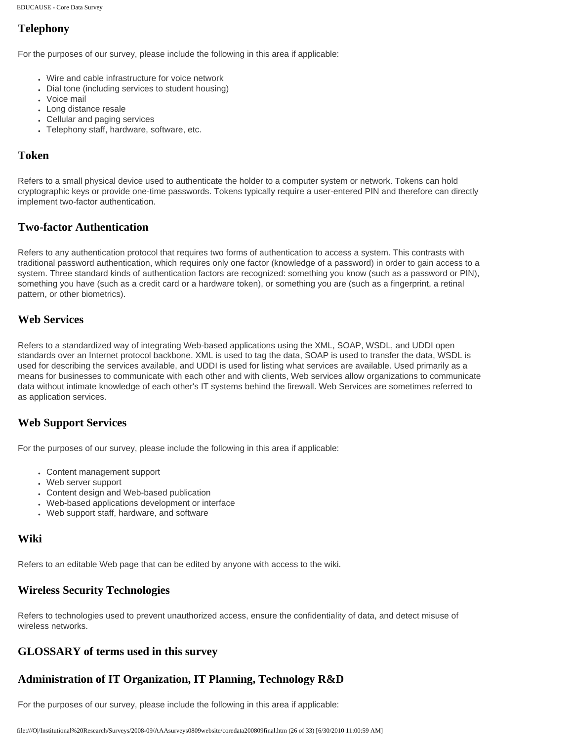# **Telephony**

For the purposes of our survey, please include the following in this area if applicable:

- Wire and cable infrastructure for voice network
- Dial tone (including services to student housing)
- Voice mail
- Long distance resale
- Cellular and paging services
- Telephony staff, hardware, software, etc.

#### **Token**

Refers to a small physical device used to authenticate the holder to a computer system or network. Tokens can hold cryptographic keys or provide one-time passwords. Tokens typically require a user-entered PIN and therefore can directly implement two-factor authentication.

#### **Two-factor Authentication**

Refers to any authentication protocol that requires two forms of authentication to access a system. This contrasts with traditional password authentication, which requires only one factor (knowledge of a password) in order to gain access to a system. Three standard kinds of authentication factors are recognized: something you know (such as a password or PIN), something you have (such as a credit card or a hardware token), or something you are (such as a fingerprint, a retinal pattern, or other biometrics).

#### **Web Services**

Refers to a standardized way of integrating Web-based applications using the XML, SOAP, WSDL, and UDDI open standards over an Internet protocol backbone. XML is used to tag the data, SOAP is used to transfer the data, WSDL is used for describing the services available, and UDDI is used for listing what services are available. Used primarily as a means for businesses to communicate with each other and with clients, Web services allow organizations to communicate data without intimate knowledge of each other's IT systems behind the firewall. Web Services are sometimes referred to as application services.

## **Web Support Services**

For the purposes of our survey, please include the following in this area if applicable:

- Content management support
- Web server support
- Content design and Web-based publication
- Web-based applications development or interface
- Web support staff, hardware, and software

## **Wiki**

Refers to an editable Web page that can be edited by anyone with access to the wiki.

# **Wireless Security Technologies**

Refers to technologies used to prevent unauthorized access, ensure the confidentiality of data, and detect misuse of wireless networks.

# **GLOSSARY of terms used in this survey**

# **Administration of IT Organization, IT Planning, Technology R&D**

For the purposes of our survey, please include the following in this area if applicable: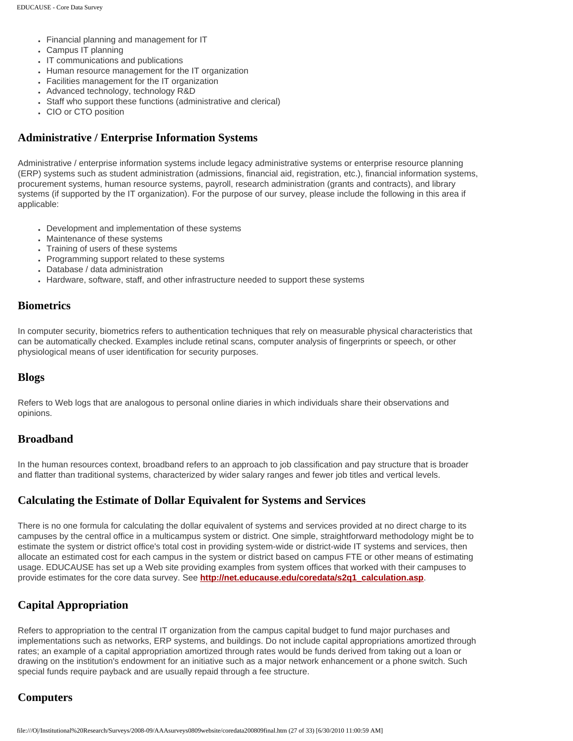- Financial planning and management for IT
- Campus IT planning
- IT communications and publications
- Human resource management for the IT organization
- Facilities management for the IT organization
- Advanced technology, technology R&D
- Staff who support these functions (administrative and clerical)
- CIO or CTO position

#### **Administrative / Enterprise Information Systems**

Administrative / enterprise information systems include legacy administrative systems or enterprise resource planning (ERP) systems such as student administration (admissions, financial aid, registration, etc.), financial information systems, procurement systems, human resource systems, payroll, research administration (grants and contracts), and library systems (if supported by the IT organization). For the purpose of our survey, please include the following in this area if applicable:

- Development and implementation of these systems
- Maintenance of these systems
- Training of users of these systems
- Programming support related to these systems
- Database / data administration
- Hardware, software, staff, and other infrastructure needed to support these systems

#### **Biometrics**

In computer security, biometrics refers to authentication techniques that rely on measurable physical characteristics that can be automatically checked. Examples include retinal scans, computer analysis of fingerprints or speech, or other physiological means of user identification for security purposes.

#### **Blogs**

Refers to Web logs that are analogous to personal online diaries in which individuals share their observations and opinions.

#### **Broadband**

In the human resources context, broadband refers to an approach to job classification and pay structure that is broader and flatter than traditional systems, characterized by wider salary ranges and fewer job titles and vertical levels.

#### **Calculating the Estimate of Dollar Equivalent for Systems and Services**

There is no one formula for calculating the dollar equivalent of systems and services provided at no direct charge to its campuses by the central office in a multicampus system or district. One simple, straightforward methodology might be to estimate the system or district office's total cost in providing system-wide or district-wide IT systems and services, then allocate an estimated cost for each campus in the system or district based on campus FTE or other means of estimating usage. EDUCAUSE has set up a Web site providing examples from system offices that worked with their campuses to provide estimates for the core data survey. See **[http://net.educause.edu/coredata/s2q1\\_calculation.asp](http://net.educause.edu/coredata/s2q1_calculation.asp)**.

## **Capital Appropriation**

Refers to appropriation to the central IT organization from the campus capital budget to fund major purchases and implementations such as networks, ERP systems, and buildings. Do not include capital appropriations amortized through rates; an example of a capital appropriation amortized through rates would be funds derived from taking out a loan or drawing on the institution's endowment for an initiative such as a major network enhancement or a phone switch. Such special funds require payback and are usually repaid through a fee structure.

## **Computers**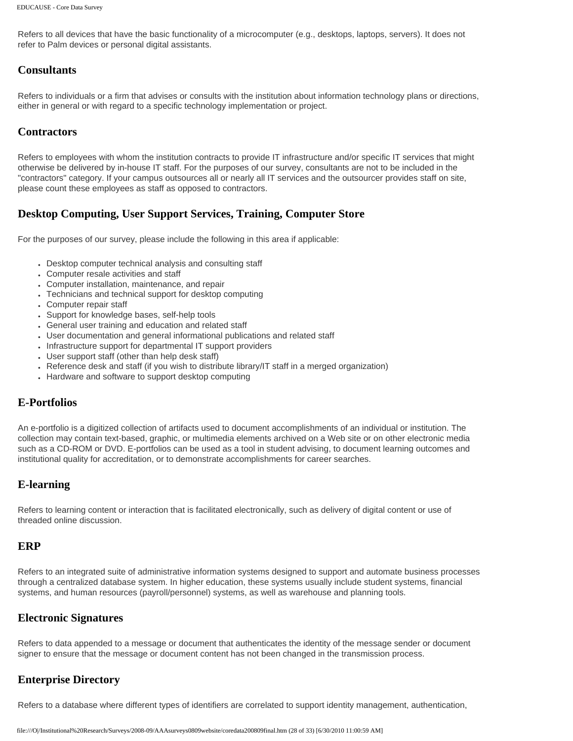Refers to all devices that have the basic functionality of a microcomputer (e.g., desktops, laptops, servers). It does not refer to Palm devices or personal digital assistants.

#### **Consultants**

Refers to individuals or a firm that advises or consults with the institution about information technology plans or directions, either in general or with regard to a specific technology implementation or project.

#### **Contractors**

Refers to employees with whom the institution contracts to provide IT infrastructure and/or specific IT services that might otherwise be delivered by in-house IT staff. For the purposes of our survey, consultants are not to be included in the "contractors" category. If your campus outsources all or nearly all IT services and the outsourcer provides staff on site, please count these employees as staff as opposed to contractors.

## **Desktop Computing, User Support Services, Training, Computer Store**

For the purposes of our survey, please include the following in this area if applicable:

- Desktop computer technical analysis and consulting staff
- Computer resale activities and staff
- Computer installation, maintenance, and repair
- Technicians and technical support for desktop computing
- Computer repair staff
- Support for knowledge bases, self-help tools
- General user training and education and related staff
- User documentation and general informational publications and related staff
- Infrastructure support for departmental IT support providers
- User support staff (other than help desk staff)
- Reference desk and staff (if you wish to distribute library/IT staff in a merged organization)
- Hardware and software to support desktop computing

#### **E-Portfolios**

An e-portfolio is a digitized collection of artifacts used to document accomplishments of an individual or institution. The collection may contain text-based, graphic, or multimedia elements archived on a Web site or on other electronic media such as a CD-ROM or DVD. E-portfolios can be used as a tool in student advising, to document learning outcomes and institutional quality for accreditation, or to demonstrate accomplishments for career searches.

## **E-learning**

Refers to learning content or interaction that is facilitated electronically, such as delivery of digital content or use of threaded online discussion.

#### **ERP**

Refers to an integrated suite of administrative information systems designed to support and automate business processes through a centralized database system. In higher education, these systems usually include student systems, financial systems, and human resources (payroll/personnel) systems, as well as warehouse and planning tools.

#### **Electronic Signatures**

Refers to data appended to a message or document that authenticates the identity of the message sender or document signer to ensure that the message or document content has not been changed in the transmission process.

## **Enterprise Directory**

Refers to a database where different types of identifiers are correlated to support identity management, authentication,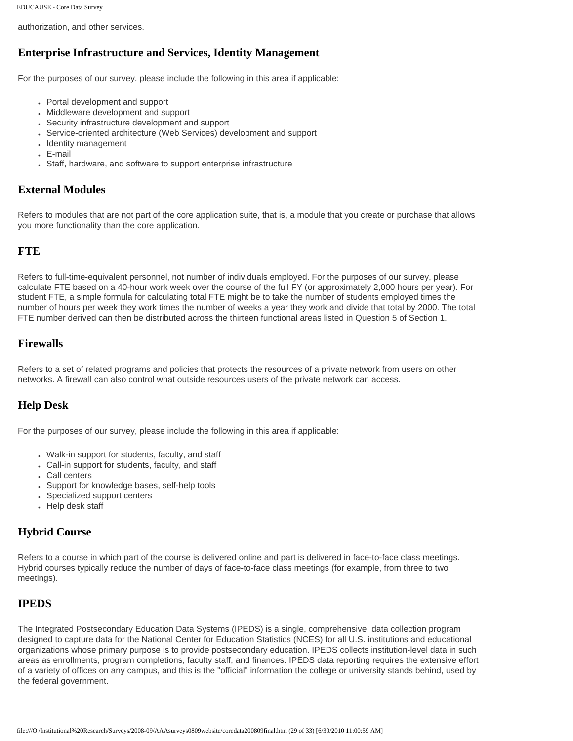authorization, and other services.

## **Enterprise Infrastructure and Services, Identity Management**

For the purposes of our survey, please include the following in this area if applicable:

- Portal development and support
- Middleware development and support
- Security infrastructure development and support
- Service-oriented architecture (Web Services) development and support
- Identity management
- $E$ -mail
- Staff, hardware, and software to support enterprise infrastructure

#### **External Modules**

Refers to modules that are not part of the core application suite, that is, a module that you create or purchase that allows you more functionality than the core application.

#### **FTE**

Refers to full-time-equivalent personnel, not number of individuals employed. For the purposes of our survey, please calculate FTE based on a 40-hour work week over the course of the full FY (or approximately 2,000 hours per year). For student FTE, a simple formula for calculating total FTE might be to take the number of students employed times the number of hours per week they work times the number of weeks a year they work and divide that total by 2000. The total FTE number derived can then be distributed across the thirteen functional areas listed in Question 5 of Section 1.

#### **Firewalls**

Refers to a set of related programs and policies that protects the resources of a private network from users on other networks. A firewall can also control what outside resources users of the private network can access.

## **Help Desk**

For the purposes of our survey, please include the following in this area if applicable:

- Walk-in support for students, faculty, and staff
- Call-in support for students, faculty, and staff
- Call centers
- Support for knowledge bases, self-help tools
- Specialized support centers
- Help desk staff

#### **Hybrid Course**

Refers to a course in which part of the course is delivered online and part is delivered in face-to-face class meetings. Hybrid courses typically reduce the number of days of face-to-face class meetings (for example, from three to two meetings).

## **IPEDS**

The Integrated Postsecondary Education Data Systems (IPEDS) is a single, comprehensive, data collection program designed to capture data for the National Center for Education Statistics (NCES) for all U.S. institutions and educational organizations whose primary purpose is to provide postsecondary education. IPEDS collects institution-level data in such areas as enrollments, program completions, faculty staff, and finances. IPEDS data reporting requires the extensive effort of a variety of offices on any campus, and this is the "official" information the college or university stands behind, used by the federal government.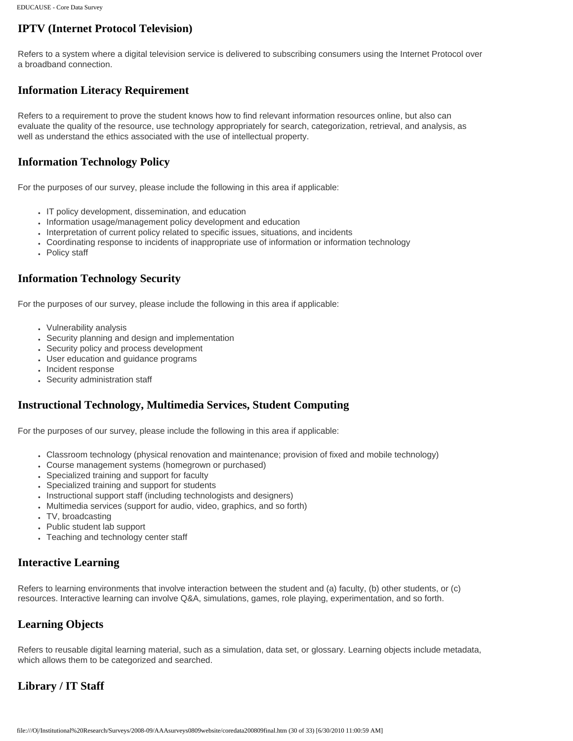# **IPTV (Internet Protocol Television)**

Refers to a system where a digital television service is delivered to subscribing consumers using the Internet Protocol over a broadband connection.

# **Information Literacy Requirement**

Refers to a requirement to prove the student knows how to find relevant information resources online, but also can evaluate the quality of the resource, use technology appropriately for search, categorization, retrieval, and analysis, as well as understand the ethics associated with the use of intellectual property.

# **Information Technology Policy**

For the purposes of our survey, please include the following in this area if applicable:

- IT policy development, dissemination, and education
- Information usage/management policy development and education
- Interpretation of current policy related to specific issues, situations, and incidents
- Coordinating response to incidents of inappropriate use of information or information technology
- Policy staff

# **Information Technology Security**

For the purposes of our survey, please include the following in this area if applicable:

- Vulnerability analysis
- Security planning and design and implementation
- Security policy and process development
- User education and guidance programs
- Incident response
- Security administration staff

## **Instructional Technology, Multimedia Services, Student Computing**

For the purposes of our survey, please include the following in this area if applicable:

- Classroom technology (physical renovation and maintenance; provision of fixed and mobile technology)
- Course management systems (homegrown or purchased)
- Specialized training and support for faculty
- Specialized training and support for students
- Instructional support staff (including technologists and designers)
- Multimedia services (support for audio, video, graphics, and so forth)
- TV, broadcasting
- Public student lab support
- Teaching and technology center staff

## **Interactive Learning**

Refers to learning environments that involve interaction between the student and (a) faculty, (b) other students, or (c) resources. Interactive learning can involve Q&A, simulations, games, role playing, experimentation, and so forth.

## **Learning Objects**

Refers to reusable digital learning material, such as a simulation, data set, or glossary. Learning objects include metadata, which allows them to be categorized and searched.

# **Library / IT Staff**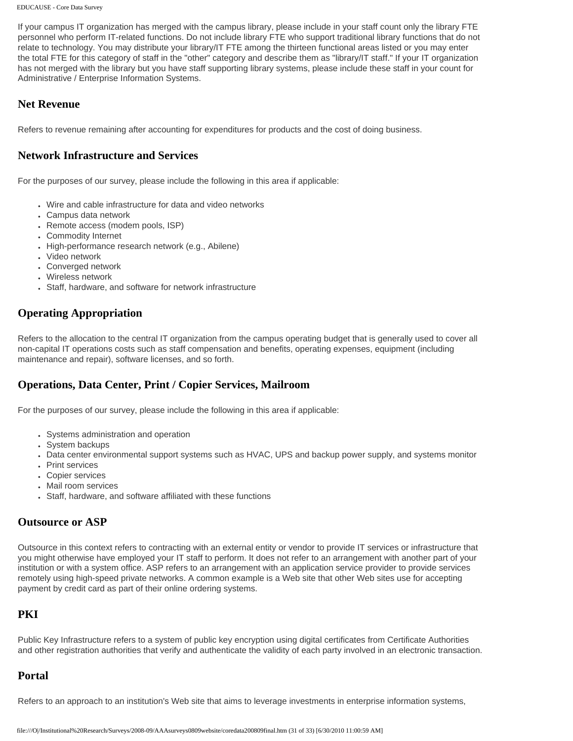If your campus IT organization has merged with the campus library, please include in your staff count only the library FTE personnel who perform IT-related functions. Do not include library FTE who support traditional library functions that do not relate to technology. You may distribute your library/IT FTE among the thirteen functional areas listed or you may enter the total FTE for this category of staff in the "other" category and describe them as "library/IT staff." If your IT organization has not merged with the library but you have staff supporting library systems, please include these staff in your count for Administrative / Enterprise Information Systems.

#### **Net Revenue**

Refers to revenue remaining after accounting for expenditures for products and the cost of doing business.

#### **Network Infrastructure and Services**

For the purposes of our survey, please include the following in this area if applicable:

- Wire and cable infrastructure for data and video networks
- Campus data network
- Remote access (modem pools, ISP)
- Commodity Internet
- High-performance research network (e.g., Abilene)
- Video network
- Converged network
- Wireless network
- Staff, hardware, and software for network infrastructure

## **Operating Appropriation**

Refers to the allocation to the central IT organization from the campus operating budget that is generally used to cover all non-capital IT operations costs such as staff compensation and benefits, operating expenses, equipment (including maintenance and repair), software licenses, and so forth.

#### **Operations, Data Center, Print / Copier Services, Mailroom**

For the purposes of our survey, please include the following in this area if applicable:

- Systems administration and operation
- System backups
- Data center environmental support systems such as HVAC, UPS and backup power supply, and systems monitor
- Print services
- Copier services
- Mail room services
- Staff, hardware, and software affiliated with these functions

#### **Outsource or ASP**

Outsource in this context refers to contracting with an external entity or vendor to provide IT services or infrastructure that you might otherwise have employed your IT staff to perform. It does not refer to an arrangement with another part of your institution or with a system office. ASP refers to an arrangement with an application service provider to provide services remotely using high-speed private networks. A common example is a Web site that other Web sites use for accepting payment by credit card as part of their online ordering systems.

# **PKI**

Public Key Infrastructure refers to a system of public key encryption using digital certificates from Certificate Authorities and other registration authorities that verify and authenticate the validity of each party involved in an electronic transaction.

## **Portal**

Refers to an approach to an institution's Web site that aims to leverage investments in enterprise information systems,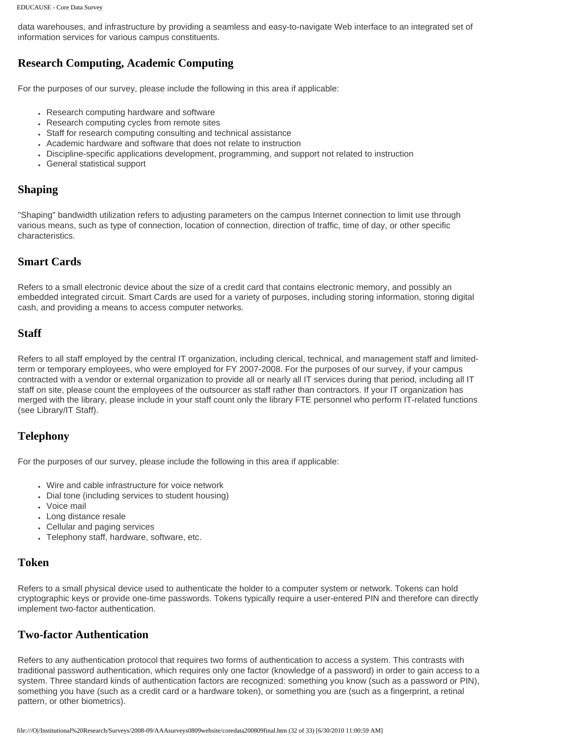data warehouses, and infrastructure by providing a seamless and easy-to-navigate Web interface to an integrated set of information services for various campus constituents.

#### **Research Computing, Academic Computing**

For the purposes of our survey, please include the following in this area if applicable:

- Research computing hardware and software
- Research computing cycles from remote sites
- Staff for research computing consulting and technical assistance
- Academic hardware and software that does not relate to instruction
- Discipline-specific applications development, programming, and support not related to instruction
- General statistical support

#### **Shaping**

"Shaping" bandwidth utilization refers to adjusting parameters on the campus Internet connection to limit use through various means, such as type of connection, location of connection, direction of traffic, time of day, or other specific characteristics.

#### **Smart Cards**

Refers to a small electronic device about the size of a credit card that contains electronic memory, and possibly an embedded integrated circuit. Smart Cards are used for a variety of purposes, including storing information, storing digital cash, and providing a means to access computer networks.

#### **Staff**

Refers to all staff employed by the central IT organization, including clerical, technical, and management staff and limitedterm or temporary employees, who were employed for FY 2007-2008. For the purposes of our survey, if your campus contracted with a vendor or external organization to provide all or nearly all IT services during that period, including all IT staff on site, please count the employees of the outsourcer as staff rather than contractors. If your IT organization has merged with the library, please include in your staff count only the library FTE personnel who perform IT-related functions (see Library/IT Staff).

#### **Telephony**

For the purposes of our survey, please include the following in this area if applicable:

- Wire and cable infrastructure for voice network
- Dial tone (including services to student housing)
- Voice mail
- Long distance resale
- Cellular and paging services
- Telephony staff, hardware, software, etc.

#### **Token**

Refers to a small physical device used to authenticate the holder to a computer system or network. Tokens can hold cryptographic keys or provide one-time passwords. Tokens typically require a user-entered PIN and therefore can directly implement two-factor authentication.

#### **Two-factor Authentication**

Refers to any authentication protocol that requires two forms of authentication to access a system. This contrasts with traditional password authentication, which requires only one factor (knowledge of a password) in order to gain access to a system. Three standard kinds of authentication factors are recognized: something you know (such as a password or PIN), something you have (such as a credit card or a hardware token), or something you are (such as a fingerprint, a retinal pattern, or other biometrics).